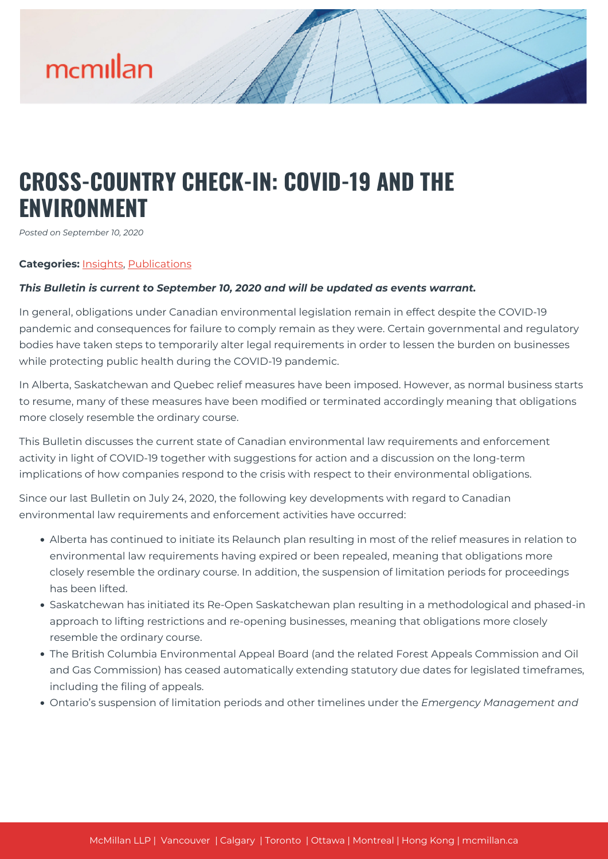### **CROSS-COUNTRY CHECK-IN: COVID-19 AND THE ENVIRONMENT**

*Posted on September 10, 2020*

#### **Categories:** [Insights,](https://mcmillan.ca/insights/) [Publications](https://mcmillan.ca/insights/publications/)

#### *This Bulletin is current to September 10, 2020 and will be updated as events warrant.*

In general, obligations under Canadian environmental legislation remain in effect despite the COVID-19 pandemic and consequences for failure to comply remain as they were. Certain governmental and regulatory bodies have taken steps to temporarily alter legal requirements in order to lessen the burden on businesses while protecting public health during the COVID-19 pandemic.

In Alberta, Saskatchewan and Quebec relief measures have been imposed. However, as normal business starts to resume, many of these measures have been modified or terminated accordingly meaning that obligations more closely resemble the ordinary course.

This Bulletin discusses the current state of Canadian environmental law requirements and enforcement activity in light of COVID-19 together with suggestions for action and a discussion on the long-term implications of how companies respond to the crisis with respect to their environmental obligations.

Since our last Bulletin on July 24, 2020, the following key developments with regard to Canadian environmental law requirements and enforcement activities have occurred:

- Alberta has continued to initiate its Relaunch plan resulting in most of the relief measures in relation to environmental law requirements having expired or been repealed, meaning that obligations more closely resemble the ordinary course. In addition, the suspension of limitation periods for proceedings has been lifted.
- Saskatchewan has initiated its Re-Open Saskatchewan plan resulting in a methodological and phased-in approach to lifting restrictions and re-opening businesses, meaning that obligations more closely resemble the ordinary course.
- The British Columbia Environmental Appeal Board (and the related Forest Appeals Commission and Oil and Gas Commission) has ceased automatically extending statutory due dates for legislated timeframes, including the filing of appeals.
- Ontario's suspension of limitation periods and other timelines under the *Emergency Management and*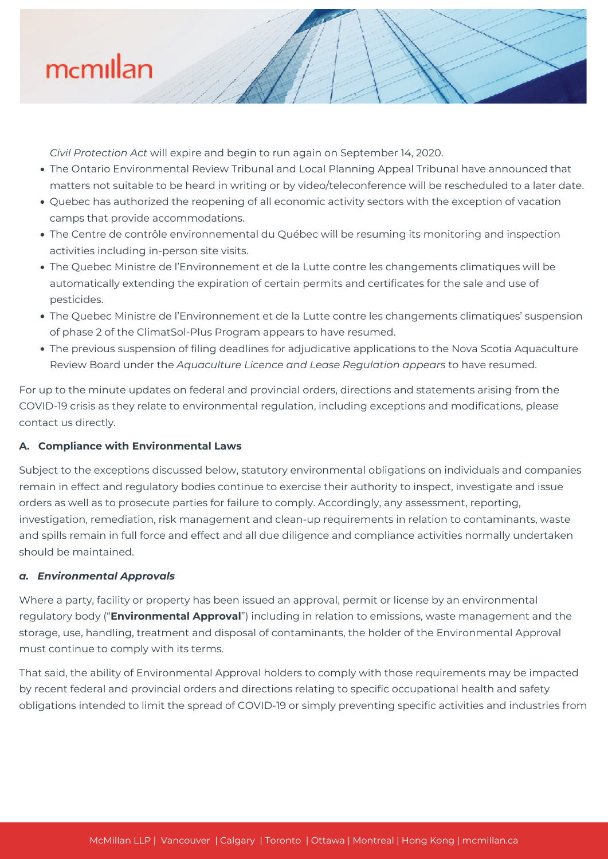

*Civil Protection Act* will expire and begin to run again on September 14, 2020.

- The Ontario Environmental Review Tribunal and Local Planning Appeal Tribunal have announced that matters not suitable to be heard in writing or by video/teleconference will be rescheduled to a later date.
- Quebec has authorized the reopening of all economic activity sectors with the exception of vacation camps that provide accommodations.
- The Centre de contrôle environnemental du Québec will be resuming its monitoring and inspection activities including in-person site visits.
- The Quebec Ministre de l'Environnement et de la Lutte contre les changements climatiques will be automatically extending the expiration of certain permits and certificates for the sale and use of pesticides.
- The Quebec Ministre de l'Environnement et de la Lutte contre les changements climatiques' suspension of phase 2 of the ClimatSol-Plus Program appears to have resumed.
- The previous suspension of filing deadlines for adjudicative applications to the Nova Scotia Aquaculture Review Board under the *Aquaculture Licence and Lease Regulation appears* to have resumed.

For up to the minute updates on federal and provincial orders, directions and statements arising from the COVID-19 crisis as they relate to environmental regulation, including exceptions and modifications, please contact us directly.

#### **A. Compliance with Environmental Laws**

Subject to the exceptions discussed below, statutory environmental obligations on individuals and companies remain in effect and regulatory bodies continue to exercise their authority to inspect, investigate and issue orders as well as to prosecute parties for failure to comply. Accordingly, any assessment, reporting, investigation, remediation, risk management and clean-up requirements in relation to contaminants, waste and spills remain in full force and effect and all due diligence and compliance activities normally undertaken should be maintained.

#### *a. Environmental Approvals*

Where a party, facility or property has been issued an approval, permit or license by an environmental regulatory body ("**Environmental Approval**") including in relation to emissions, waste management and the storage, use, handling, treatment and disposal of contaminants, the holder of the Environmental Approval must continue to comply with its terms.

That said, the ability of Environmental Approval holders to comply with those requirements may be impacted by recent federal and provincial orders and directions relating to specific occupational health and safety obligations intended to limit the spread of COVID-19 or simply preventing specific activities and industries from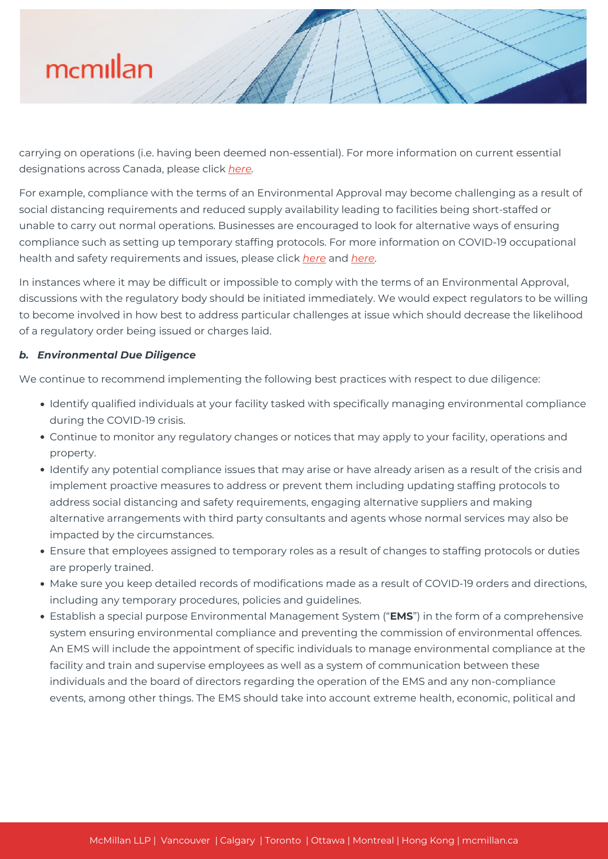carrying on operations (i.e. having been deemed non-essential). For more information on current essential designations across Canada, please click *[here](https://mcmillan.ca/insights/webinar-essential-workplaces-and-services-a-national-roundup-and-best-practices-for-managing-business-closures-2/).*

For example, compliance with the terms of an Environmental Approval may become challenging as a result of social distancing requirements and reduced supply availability leading to facilities being short-staffed or unable to carry out normal operations. Businesses are encouraged to look for alternative ways of ensuring compliance such as setting up temporary staffing protocols. For more information on COVID-19 occupational health and safety requirements and issues, please click *[here](https://mcmillan.ca/insights/webinar-establishing-the-new-normal-return-to-work-considerations-in-the-covid-19-era/)* and *[here](https://mcmillan.ca/insights/webinar-the-impact-of-covid-19-on-your-workforce-in-canada/)*.

In instances where it may be difficult or impossible to comply with the terms of an Environmental Approval, discussions with the regulatory body should be initiated immediately. We would expect regulators to be willing to become involved in how best to address particular challenges at issue which should decrease the likelihood of a regulatory order being issued or charges laid.

#### *b. Environmental Due Diligence*

We continue to recommend implementing the following best practices with respect to due diligence:

- Identify qualified individuals at your facility tasked with specifically managing environmental compliance during the COVID-19 crisis.
- Continue to monitor any regulatory changes or notices that may apply to your facility, operations and property.
- Identify any potential compliance issues that may arise or have already arisen as a result of the crisis and implement proactive measures to address or prevent them including updating staffing protocols to address social distancing and safety requirements, engaging alternative suppliers and making alternative arrangements with third party consultants and agents whose normal services may also be impacted by the circumstances.
- Ensure that employees assigned to temporary roles as a result of changes to staffing protocols or duties are properly trained.
- Make sure you keep detailed records of modifications made as a result of COVID-19 orders and directions, including any temporary procedures, policies and guidelines.
- Establish a special purpose Environmental Management System ("**EMS**") in the form of a comprehensive system ensuring environmental compliance and preventing the commission of environmental offences. An EMS will include the appointment of specific individuals to manage environmental compliance at the facility and train and supervise employees as well as a system of communication between these individuals and the board of directors regarding the operation of the EMS and any non-compliance events, among other things. The EMS should take into account extreme health, economic, political and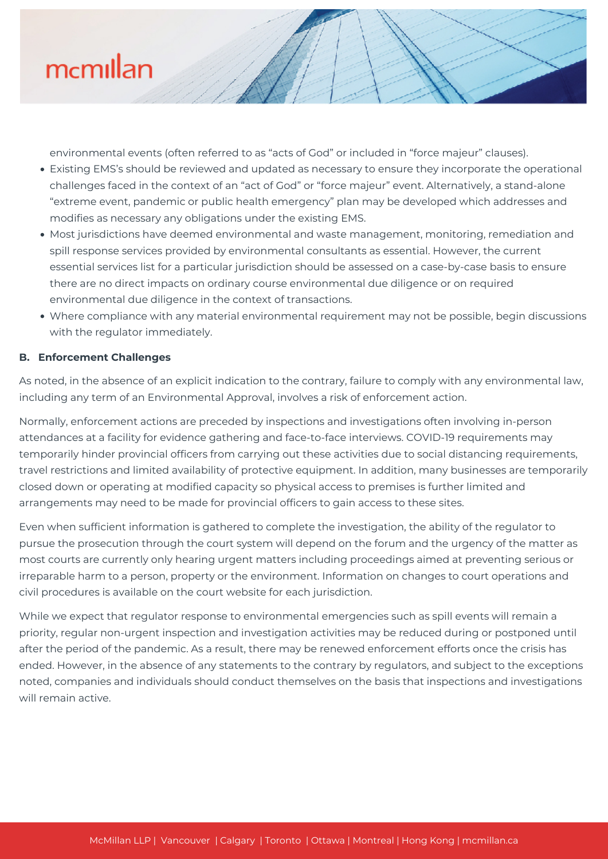

environmental events (often referred to as "acts of God" or included in "force majeur" clauses).

- Existing EMS's should be reviewed and updated as necessary to ensure they incorporate the operational challenges faced in the context of an "act of God" or "force majeur" event. Alternatively, a stand-alone "extreme event, pandemic or public health emergency" plan may be developed which addresses and modifies as necessary any obligations under the existing EMS.
- Most jurisdictions have deemed environmental and waste management, monitoring, remediation and spill response services provided by environmental consultants as essential. However, the current essential services list for a particular jurisdiction should be assessed on a case-by-case basis to ensure there are no direct impacts on ordinary course environmental due diligence or on required environmental due diligence in the context of transactions.
- Where compliance with any material environmental requirement may not be possible, begin discussions with the regulator immediately.

#### **B. Enforcement Challenges**

As noted, in the absence of an explicit indication to the contrary, failure to comply with any environmental law, including any term of an Environmental Approval, involves a risk of enforcement action.

Normally, enforcement actions are preceded by inspections and investigations often involving in-person attendances at a facility for evidence gathering and face-to-face interviews. COVID-19 requirements may temporarily hinder provincial officers from carrying out these activities due to social distancing requirements, travel restrictions and limited availability of protective equipment. In addition, many businesses are temporarily closed down or operating at modified capacity so physical access to premises is further limited and arrangements may need to be made for provincial officers to gain access to these sites.

Even when sufficient information is gathered to complete the investigation, the ability of the regulator to pursue the prosecution through the court system will depend on the forum and the urgency of the matter as most courts are currently only hearing urgent matters including proceedings aimed at preventing serious or irreparable harm to a person, property or the environment. Information on changes to court operations and civil procedures is available on the court website for each jurisdiction.

While we expect that regulator response to environmental emergencies such as spill events will remain a priority, regular non-urgent inspection and investigation activities may be reduced during or postponed until after the period of the pandemic. As a result, there may be renewed enforcement efforts once the crisis has ended. However, in the absence of any statements to the contrary by regulators, and subject to the exceptions noted, companies and individuals should conduct themselves on the basis that inspections and investigations will remain active.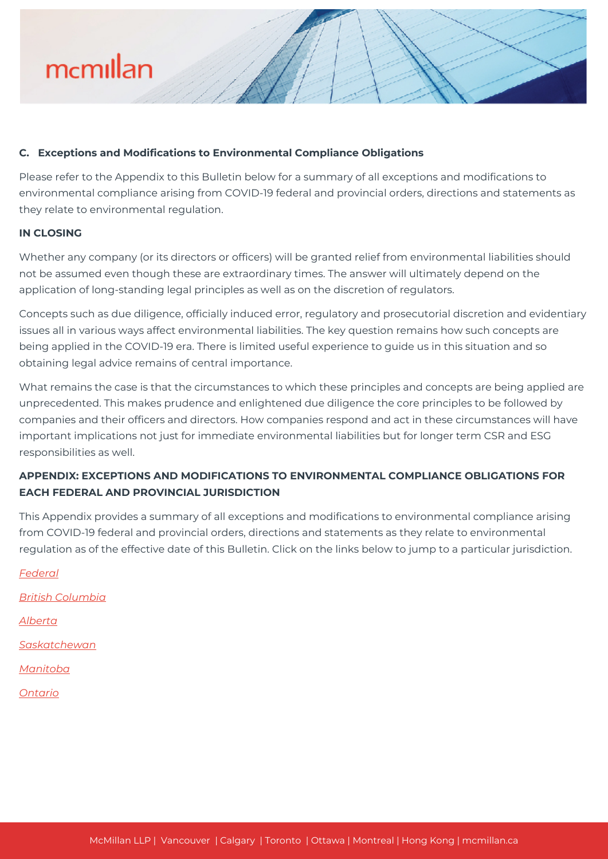

#### **C. Exceptions and Modifications to Environmental Compliance Obligations**

Please refer to the Appendix to this Bulletin below for a summary of all exceptions and modifications to environmental compliance arising from COVID-19 federal and provincial orders, directions and statements as they relate to environmental regulation.

#### **IN CLOSING**

Whether any company (or its directors or officers) will be granted relief from environmental liabilities should not be assumed even though these are extraordinary times. The answer will ultimately depend on the application of long-standing legal principles as well as on the discretion of regulators.

Concepts such as due diligence, officially induced error, regulatory and prosecutorial discretion and evidentiary issues all in various ways affect environmental liabilities. The key question remains how such concepts are being applied in the COVID-19 era. There is limited useful experience to guide us in this situation and so obtaining legal advice remains of central importance.

What remains the case is that the circumstances to which these principles and concepts are being applied are unprecedented. This makes prudence and enlightened due diligence the core principles to be followed by companies and their officers and directors. How companies respond and act in these circumstances will have important implications not just for immediate environmental liabilities but for longer term CSR and ESG responsibilities as well.

### **APPENDIX: EXCEPTIONS AND MODIFICATIONS TO ENVIRONMENTAL COMPLIANCE OBLIGATIONS FOR EACH FEDERAL AND PROVINCIAL JURISDICTION**

This Appendix provides a summary of all exceptions and modifications to environmental compliance arising from COVID-19 federal and provincial orders, directions and statements as they relate to environmental regulation as of the effective date of this Bulletin. Click on the links below to jump to a particular jurisdiction.

*[Federal](#page--1-0) [British Columbia](#page--1-0) [Alberta](#page--1-0) [Saskatchewan](#page--1-0) [Manitoba](#page--1-0) [Ontario](#page--1-0)*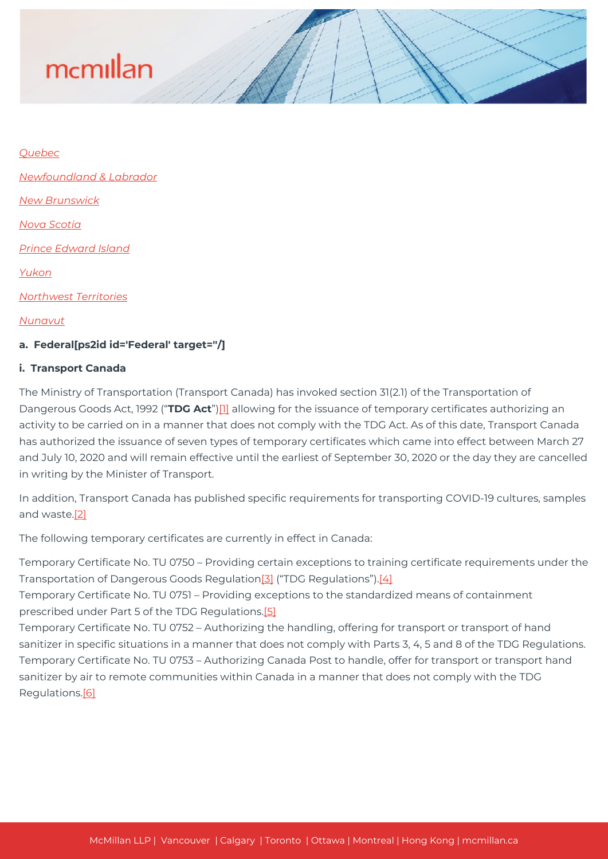#### *[Quebec](#page--1-0)*

*[Newfoundland & Labrador](#page--1-0)*

*[New Brunswick](#page--1-0)*

*[Nova Scotia](#page--1-0)*

*[Prince Edward Island](#page--1-0)*

*[Yukon](#page--1-0)*

*[Northwest Territories](#page--1-0)*

*[Nunavut](#page--1-0)*

#### **a. Federal[ps2id id='Federal' target=''/]**

#### **i. Transport Canada**

The Ministry of Transportation (Transport Canada) has invoked section 31(2.1) of the Transportation of Dangerous Goods Act, 1992 ("**TDG Act**"[\)\[1\]](#page--1-0) allowing for the issuance of temporary certificates authorizing an activity to be carried on in a manner that does not comply with the TDG Act. As of this date, Transport Canada has authorized the issuance of seven types of temporary certificates which came into effect between March 27 and July 10, 2020 and will remain effective until the earliest of September 30, 2020 or the day they are cancelled in writing by the Minister of Transport.

In addition, Transport Canada has published specific requirements for transporting COVID-19 cultures, samples and waste.[\[2\]](#page--1-0)

The following temporary certificates are currently in effect in Canada:

Temporary Certificate No. TU 0750 – Providing certain exceptions to training certificate requirements under the Transportation of Dangerous Goods Regulation<sup>[3]</sup> ("TDG Regulations").<sup>[4]</sup>

Temporary Certificate No. TU 0751 – Providing exceptions to the standardized means of containment prescribed under Part 5 of the TDG Regulations[.\[5\]](#page--1-0)

Temporary Certificate No. TU 0752 – Authorizing the handling, offering for transport or transport of hand sanitizer in specific situations in a manner that does not comply with Parts 3, 4, 5 and 8 of the TDG Regulations. Temporary Certificate No. TU 0753 – Authorizing Canada Post to handle, offer for transport or transport hand sanitizer by air to remote communities within Canada in a manner that does not comply with the TDG Regulations[.\[6\]](#page--1-0)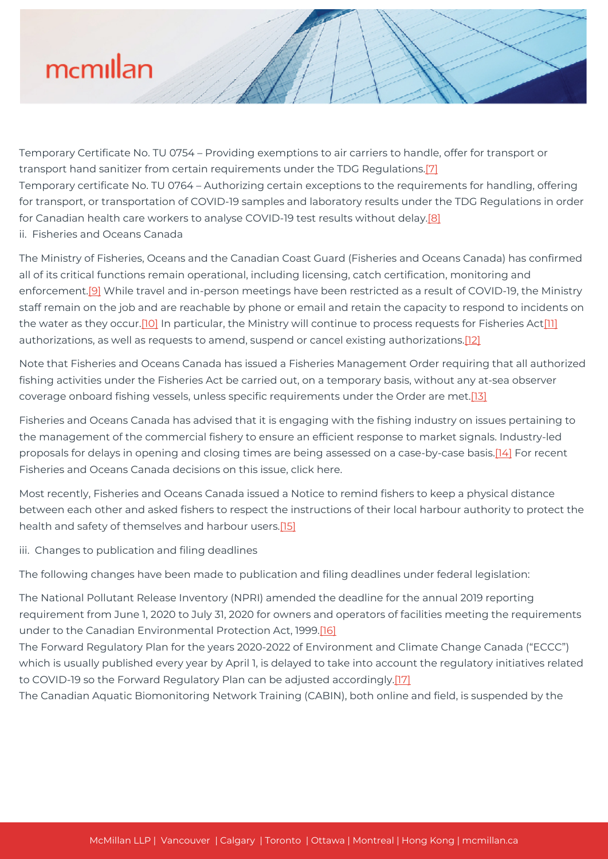Temporary Certificate No. TU 0754 – Providing exemptions to air carriers to handle, offer for transport or transport hand sanitizer from certain requirements under the TDG Regulations.<sup>[\[7\]](#page--1-0)</sup> Temporary certificate No. TU 0764 – Authorizing certain exceptions to the requirements for handling, offering for transport, or transportation of COVID-19 samples and laboratory results under the TDG Regulations in order for Canadian health care workers to analyse COVID-19 test results without delay.[\[8\]](#page--1-0) ii. Fisheries and Oceans Canada

The Ministry of Fisheries, Oceans and the Canadian Coast Guard (Fisheries and Oceans Canada) has confirmed all of its critical functions remain operational, including licensing, catch certification, monitoring and enforcement[.\[9\]](#page--1-0) While travel and in-person meetings have been restricted as a result of COVID-19, the Ministry staff remain on the job and are reachable by phone or email and retain the capacity to respond to incidents on the water as they occur.<sup>[10]</sup> In particular, the Ministry will continue to process requests for Fisheries Act<sup>[\[11\]](#page--1-0)</sup> authorizations, as well as requests to amend, suspend or cancel existing authorizations.[\[12\]](#page--1-0)

Note that Fisheries and Oceans Canada has issued a Fisheries Management Order requiring that all authorized fishing activities under the Fisheries Act be carried out, on a temporary basis, without any at-sea observer coverage onboard fishing vessels, unless specific requirements under the Order are met[.\[13\]](#page--1-0)

Fisheries and Oceans Canada has advised that it is engaging with the fishing industry on issues pertaining to the management of the commercial fishery to ensure an efficient response to market signals. Industry-led proposals for delays in opening and closing times are being assessed on a case-by-case basis.[\[14\]](#page--1-0) For recent Fisheries and Oceans Canada decisions on this issue, click here.

Most recently, Fisheries and Oceans Canada issued a Notice to remind fishers to keep a physical distance between each other and asked fishers to respect the instructions of their local harbour authority to protect the health and safety of themselves and harbour users.<sup>[15]</sup>

iii. Changes to publication and filing deadlines

The following changes have been made to publication and filing deadlines under federal legislation:

The National Pollutant Release Inventory (NPRI) amended the deadline for the annual 2019 reporting requirement from June 1, 2020 to July 31, 2020 for owners and operators of facilities meeting the requirements under to the Canadian Environmental Protection Act, 1999[.\[16\]](#page--1-0)

The Forward Regulatory Plan for the years 2020-2022 of Environment and Climate Change Canada ("ECCC") which is usually published every year by April 1, is delayed to take into account the regulatory initiatives related to COVID-19 so the Forward Regulatory Plan can be adjusted accordingly[.\[17\]](#page--1-0)

The Canadian Aquatic Biomonitoring Network Training (CABIN), both online and field, is suspended by the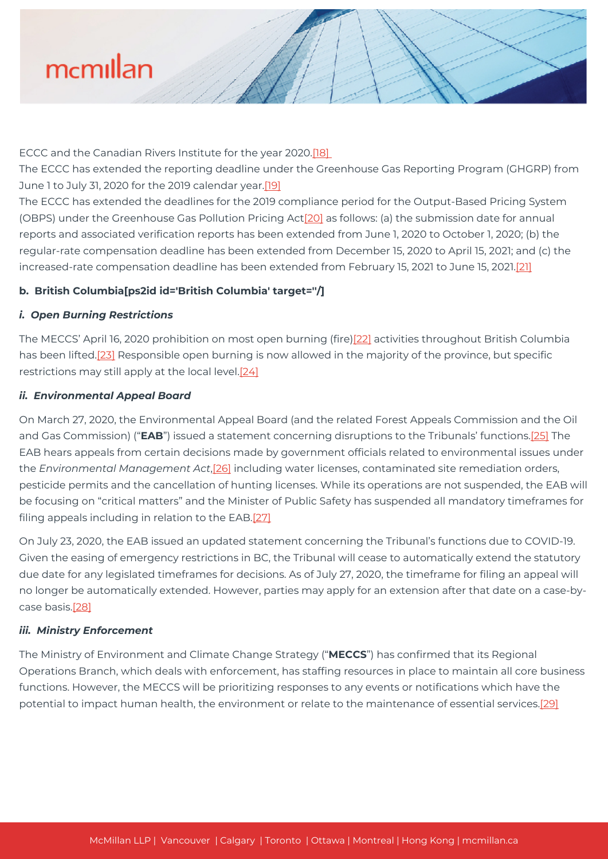ECCC and the Canadian Rivers Institute for the year 2020[.\[18\]](#page--1-0) 

The ECCC has extended the reporting deadline under the Greenhouse Gas Reporting Program (GHGRP) from June 1 to July 31, 2020 for the 2019 calendar year[.\[19\]](#page--1-0)

The ECCC has extended the deadlines for the 2019 compliance period for the Output-Based Pricing System (OBPS) under the Greenhouse Gas Pollution Pricing Act[\[20\]](#page--1-0) as follows: (a) the submission date for annual reports and associated verification reports has been extended from June 1, 2020 to October 1, 2020; (b) the regular-rate compensation deadline has been extended from December 15, 2020 to April 15, 2021; and (c) the increased-rate compensation deadline has been extended from February 15, 2021 to June 15, 2021[.\[21\]](#page--1-0)

#### **b. British Columbia[ps2id id='British Columbia' target=''/]**

#### *i. Open Burning Restrictions*

The MECCS' April 16, 2020 prohibition on most open burning (fire)[\[22\]](#page--1-0) activities throughout British Columbia has been lifted.<sup>[23]</sup> Responsible open burning is now allowed in the majority of the province, but specific restrictions may still apply at the local level.[\[24\]](#page--1-0)

#### *ii. Environmental Appeal Board*

On March 27, 2020, the Environmental Appeal Board (and the related Forest Appeals Commission and the Oil and Gas Commission) ("**EAB**") issued a statement concerning disruptions to the Tribunals' functions.[\[25\]](#page--1-0) The EAB hears appeals from certain decisions made by government officials related to environmental issues under the *Environmental Management Act*[,\[26\]](#page--1-0) including water licenses, contaminated site remediation orders, pesticide permits and the cancellation of hunting licenses. While its operations are not suspended, the EAB will be focusing on "critical matters" and the Minister of Public Safety has suspended all mandatory timeframes for filing appeals including in relation to the EAB[.\[27\]](#page--1-0)

On July 23, 2020, the EAB issued an updated statement concerning the Tribunal's functions due to COVID-19. Given the easing of emergency restrictions in BC, the Tribunal will cease to automatically extend the statutory due date for any legislated timeframes for decisions. As of July 27, 2020, the timeframe for filing an appeal will no longer be automatically extended. However, parties may apply for an extension after that date on a case-bycase basis[.\[28\]](#page--1-0)

#### *iii. Ministry Enforcement*

The Ministry of Environment and Climate Change Strategy ("**MECCS**") has confirmed that its Regional Operations Branch, which deals with enforcement, has staffing resources in place to maintain all core business functions. However, the MECCS will be prioritizing responses to any events or notifications which have the potential to impact human health, the environment or relate to the maintenance of essential services.[\[29\]](#page--1-0)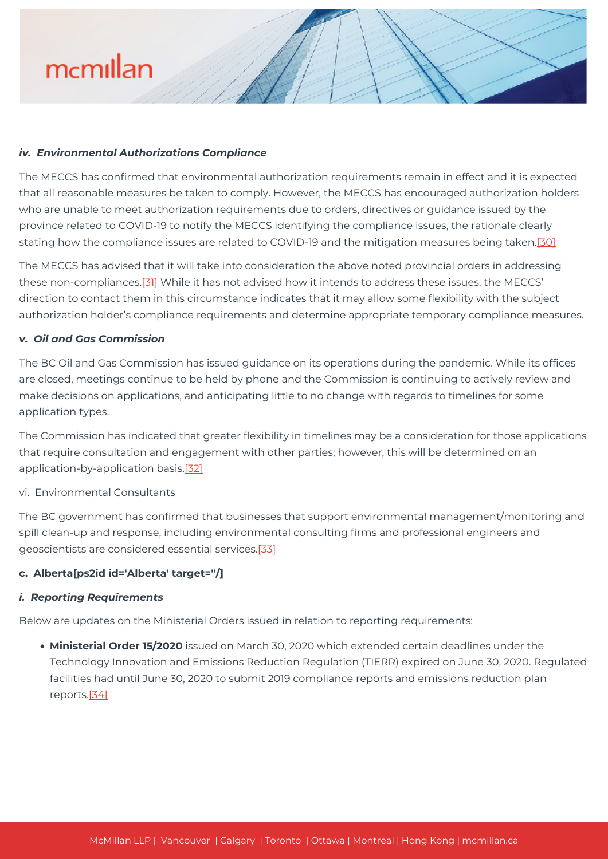#### *iv. Environmental Authorizations Compliance*

The MECCS has confirmed that environmental authorization requirements remain in effect and it is expected that all reasonable measures be taken to comply. However, the MECCS has encouraged authorization holders who are unable to meet authorization requirements due to orders, directives or guidance issued by the province related to COVID-19 to notify the MECCS identifying the compliance issues, the rationale clearly stating how the compliance issues are related to COVID-19 and the mitigation measures being taken.[\[30\]](#page--1-0)

The MECCS has advised that it will take into consideration the above noted provincial orders in addressing these non-compliances.[\[31\]](#31.) While it has not advised how it intends to address these issues, the MECCS' direction to contact them in this circumstance indicates that it may allow some flexibility with the subject authorization holder's compliance requirements and determine appropriate temporary compliance measures.

#### *v. Oil and Gas Commission*

The BC Oil and Gas Commission has issued guidance on its operations during the pandemic. While its offices are closed, meetings continue to be held by phone and the Commission is continuing to actively review and make decisions on applications, and anticipating little to no change with regards to timelines for some application types.

The Commission has indicated that greater flexibility in timelines may be a consideration for those applications that require consultation and engagement with other parties; however, this will be determined on an application-by-application basis.[\[32\]](#page--1-0)

#### vi. Environmental Consultants

The BC government has confirmed that businesses that support environmental management/monitoring and spill clean-up and response, including environmental consulting firms and professional engineers and geoscientists are considered essential services.[\[33\]](#page--1-0)

#### **c. Alberta[ps2id id='Alberta' target=''/]**

#### *i. Reporting Requirements*

Below are updates on the Ministerial Orders issued in relation to reporting requirements:

**Ministerial Order 15/2020** issued on March 30, 2020 which extended certain deadlines under the Technology Innovation and Emissions Reduction Regulation (TIERR) expired on June 30, 2020. Regulated facilities had until June 30, 2020 to submit 2019 compliance reports and emissions reduction plan reports.[\[34\]](#page--1-0)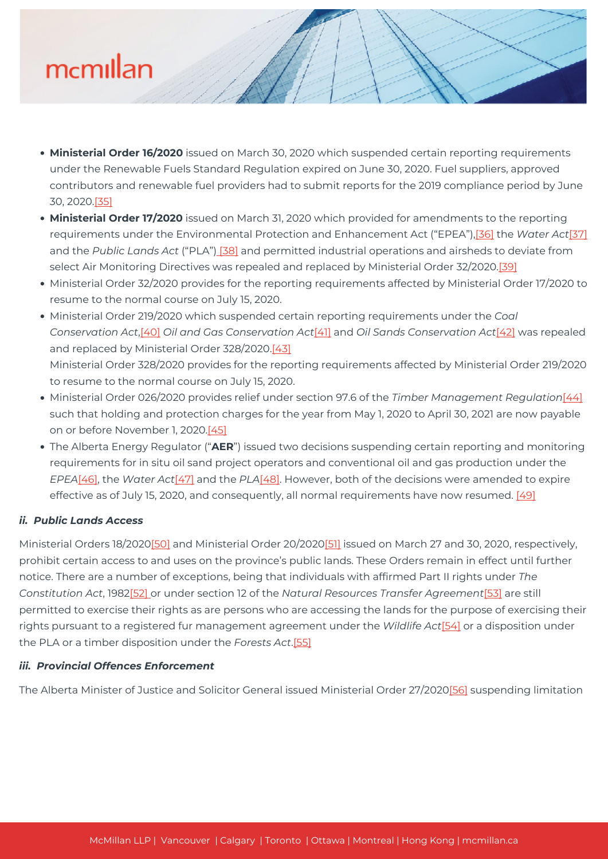- **Ministerial Order 16/2020** issued on March 30, 2020 which suspended certain reporting requirements under the Renewable Fuels Standard Regulation expired on June 30, 2020. Fuel suppliers, approved contributors and renewable fuel providers had to submit reports for the 2019 compliance period by June 30, 2020[.\[35\]](#page--1-0)
- **Ministerial Order 17/2020** issued on March 31, 2020 which provided for amendments to the reporting requirements under the Environmental Protection and Enhancement Act ("EPEA"),[\[36\]](#page--1-0) the *Water Act*[\[37\]](#page--1-0) and the *Public Lands Act* ("PLA"[\) \[38\]](#page--1-0) and permitted industrial operations and airsheds to deviate from select Air Monitoring Directives was repealed and replaced by Ministerial Order 32/2020[.\[39\]](#page--1-0)
- Ministerial Order 32/2020 provides for the reporting requirements affected by Ministerial Order 17/2020 to resume to the normal course on July 15, 2020.
- Ministerial Order 219/2020 which suspended certain reporting requirements under the *Coal Conservation Act*,[\[40\]](#page--1-0) *Oil and Gas Conservation Act*[\[41\]](#page--1-0) and *Oil Sands Conservation Act*[\[42\]](#page--1-0) was repealed and replaced by Ministerial Order 328/2020[.\[43\]](#page--1-0) Ministerial Order 328/2020 provides for the reporting requirements affected by Ministerial Order 219/2020 to resume to the normal course on July 15, 2020.
- Ministerial Order 026/2020 provides relief under section 97.6 of the *Timber Management Regulation*[\[44\]](#page--1-0) such that holding and protection charges for the year from May 1, 2020 to April 30, 2021 are now payable on or before November 1, 2020[.\[45\]](#page--1-0)
- The Alberta Energy Regulator ("**AER**") issued two decisions suspending certain reporting and monitoring requirements for in situ oil sand project operators and conventional oil and gas production under the *EPEA*[\[46\],](#page--1-0) the *Water Act*[\[47\]](#page--1-0) and the *PLA*[\[48\].](#page--1-0) However, both of the decisions were amended to expire effective as of July 15, 2020, and consequently, all normal requirements have now resumed. [\[49\]](#page--1-0)

#### *ii. Public Lands Access*

Ministerial Orders 18/202[0\[50\]](#page--1-0) and Ministerial Order 20/202[0\[51\]](#page--1-0) issued on March 27 and 30, 2020, respectively, prohibit certain access to and uses on the province's public lands. These Orders remain in effect until further notice. There are a number of exceptions, being that individuals with affirmed Part II rights under *The Constitution Act*, 198[2\[52\] o](#page--1-0)r under section 12 of the *Natural Resources Transfer Agreement*[\[53\]](#page--1-0) are still permitted to exercise their rights as are persons who are accessing the lands for the purpose of exercising their rights pursuant to a registered fur management agreement under the *Wildlife Act*[\[54\]](#page--1-0) or a disposition under the PLA or a timber disposition under the *Forests Act*[.\[55\]](#page--1-0)

#### *iii. Provincial Offences Enforcement*

The Alberta Minister of Justice and Solicitor General issued Ministerial Order 27/202[0\[56\]](#page--1-0) suspending limitation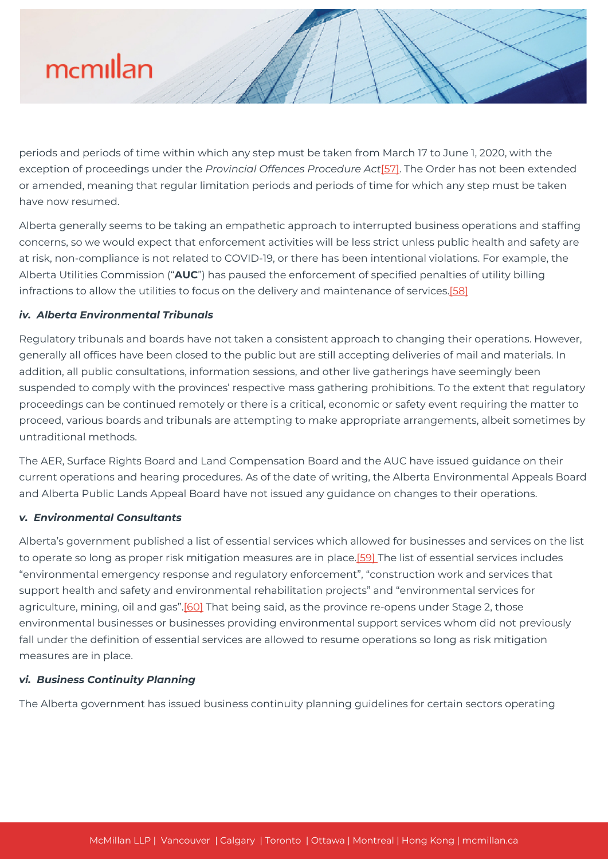

periods and periods of time within which any step must be taken from March 17 to June 1, 2020, with the exception of proceedings under the *Provincial Offences Procedure Act*[\[57\]](#page--1-0). The Order has not been extended or amended, meaning that regular limitation periods and periods of time for which any step must be taken have now resumed.

Alberta generally seems to be taking an empathetic approach to interrupted business operations and staffing concerns, so we would expect that enforcement activities will be less strict unless public health and safety are at risk, non-compliance is not related to COVID-19, or there has been intentional violations. For example, the Alberta Utilities Commission ("**AUC**") has paused the enforcement of specified penalties of utility billing infractions to allow the utilities to focus on the delivery and maintenance of services[.\[58\]](#page--1-0)

#### *iv. Alberta Environmental Tribunals*

Regulatory tribunals and boards have not taken a consistent approach to changing their operations. However, generally all offices have been closed to the public but are still accepting deliveries of mail and materials. In addition, all public consultations, information sessions, and other live gatherings have seemingly been suspended to comply with the provinces' respective mass gathering prohibitions. To the extent that regulatory proceedings can be continued remotely or there is a critical, economic or safety event requiring the matter to proceed, various boards and tribunals are attempting to make appropriate arrangements, albeit sometimes by untraditional methods.

The AER, Surface Rights Board and Land Compensation Board and the AUC have issued guidance on their current operations and hearing procedures. As of the date of writing, the Alberta Environmental Appeals Board and Alberta Public Lands Appeal Board have not issued any guidance on changes to their operations.

#### *v. Environmental Consultants*

Alberta's government published a list of essential services which allowed for businesses and services on the list to operate so long as proper risk mitigation measures are in place[.\[59\]](#page--1-0) The list of essential services includes "environmental emergency response and regulatory enforcement", "construction work and services that support health and safety and environmental rehabilitation projects" and "environmental services for agriculture, mining, oil and gas".<sup>[60]</sup> That being said, as the province re-opens under Stage 2, those environmental businesses or businesses providing environmental support services whom did not previously fall under the definition of essential services are allowed to resume operations so long as risk mitigation measures are in place.

#### *vi. Business Continuity Planning*

The Alberta government has issued business continuity planning guidelines for certain sectors operating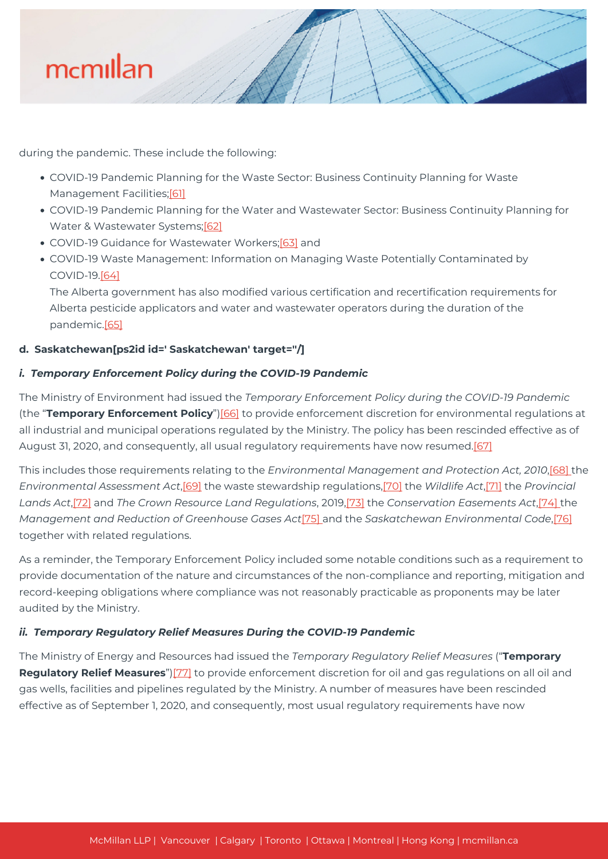

during the pandemic. These include the following:

- COVID-19 Pandemic Planning for the Waste Sector: Business Continuity Planning for Waste Management Facilities;[\[61\]](#page--1-0)
- COVID-19 Pandemic Planning for the Water and Wastewater Sector: Business Continuity Planning for Water & Wastewater Systems[;\[62\]](#page--1-0)
- COVID-19 Guidance for Wastewater Workers;[\[63\]](#page--1-0) and
- COVID-19 Waste Management: Information on Managing Waste Potentially Contaminated by COVID-19[.\[64\]](#page--1-0)

The Alberta government has also modified various certification and recertification requirements for Alberta pesticide applicators and water and wastewater operators during the duration of the pandemic[.\[65\]](#page--1-0)

### **d. Saskatchewan[ps2id id=' Saskatchewan' target=''/]**

### *i. Temporary Enforcement Policy during the COVID-19 Pandemic*

The Ministry of Environment had issued the *Temporary Enforcement Policy during the COVID-19 Pandemic* (the "**Temporary Enforcement Policy**")[\[66\]](#page--1-0) to provide enforcement discretion for environmental regulations at all industrial and municipal operations regulated by the Ministry. The policy has been rescinded effective as of August 31, 2020, and consequently, all usual regulatory requirements have now resumed.[\[67\]](#page--1-0)

This includes those requirements relating to the *Environmental Management and Protection Act, 2010*[,\[68\] t](#page--1-0)he *Environmental Assessment Act*,[\[69\]](#page--1-0) the waste stewardship regulations,[\[70\]](#page--1-0) the *Wildlife Act*,[\[71\]](#page--1-0) the *Provincial Lands Act*[,\[72\]](#page--1-0) and *The Crown Resource Land Regulations*, 2019[,\[73\]](#page--1-0) the *Conservation Easements Act*[,\[74\] t](#page--1-0)he *Management and Reduction of Greenhouse Gases Act*[\[75\] a](#page--1-0)nd the *Saskatchewan Environmental Code*[,\[76\]](#page--1-0) together with related regulations.

As a reminder, the Temporary Enforcement Policy included some notable conditions such as a requirement to provide documentation of the nature and circumstances of the non-compliance and reporting, mitigation and record-keeping obligations where compliance was not reasonably practicable as proponents may be later audited by the Ministry.

### *ii. Temporary Regulatory Relief Measures During the COVID-19 Pandemic*

The Ministry of Energy and Resources had issued the *Temporary Regulatory Relief Measures* ("**Temporary Regulatory Relief Measures**"[\)\[77\]](#page--1-0) to provide enforcement discretion for oil and gas regulations on all oil and gas wells, facilities and pipelines regulated by the Ministry. A number of measures have been rescinded effective as of September 1, 2020, and consequently, most usual regulatory requirements have now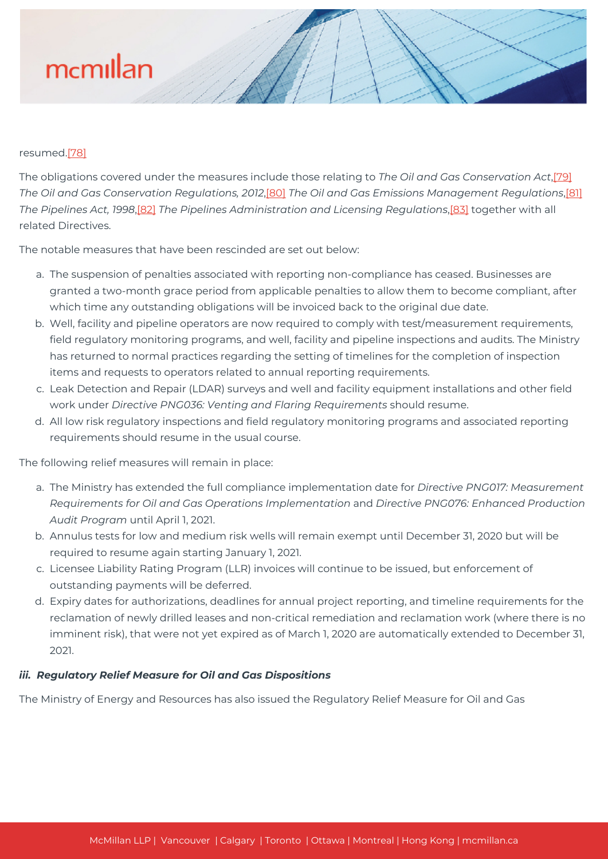#### resumed.[\[78\]](#page--1-0)

The obligations covered under the measures include those relating to *The Oil and Gas Conservation Act*,[\[79\]](#page--1-0) *The Oil and Gas Conservation Regulations, 2012*,[\[80\]](#page--1-0) *The Oil and Gas Emissions Management Regulations*[,\[81\]](#page--1-0) *The Pipelines Act, 1998*[,\[82\]](#page--1-0) *The Pipelines Administration and Licensing Regulations*,[\[83\]](#page--1-0) together with all related Directives.

The notable measures that have been rescinded are set out below:

- a. The suspension of penalties associated with reporting non-compliance has ceased. Businesses are granted a two-month grace period from applicable penalties to allow them to become compliant, after which time any outstanding obligations will be invoiced back to the original due date.
- b. Well, facility and pipeline operators are now required to comply with test/measurement requirements, field regulatory monitoring programs, and well, facility and pipeline inspections and audits. The Ministry has returned to normal practices regarding the setting of timelines for the completion of inspection items and requests to operators related to annual reporting requirements.
- c. Leak Detection and Repair (LDAR) surveys and well and facility equipment installations and other field work under *Directive PNG036: Venting and Flaring Requirements* should resume.
- d. All low risk regulatory inspections and field regulatory monitoring programs and associated reporting requirements should resume in the usual course.

The following relief measures will remain in place:

- a. The Ministry has extended the full compliance implementation date for *Directive PNG017: Measurement Requirements for Oil and Gas Operations Implementation* and *Directive PNG076: Enhanced Production Audit Program* until April 1, 2021.
- b. Annulus tests for low and medium risk wells will remain exempt until December 31, 2020 but will be required to resume again starting January 1, 2021.
- c. Licensee Liability Rating Program (LLR) invoices will continue to be issued, but enforcement of outstanding payments will be deferred.
- d. Expiry dates for authorizations, deadlines for annual project reporting, and timeline requirements for the reclamation of newly drilled leases and non-critical remediation and reclamation work (where there is no imminent risk), that were not yet expired as of March 1, 2020 are automatically extended to December 31, 2021.

#### *iii. Regulatory Relief Measure for Oil and Gas Dispositions*

The Ministry of Energy and Resources has also issued the Regulatory Relief Measure for Oil and Gas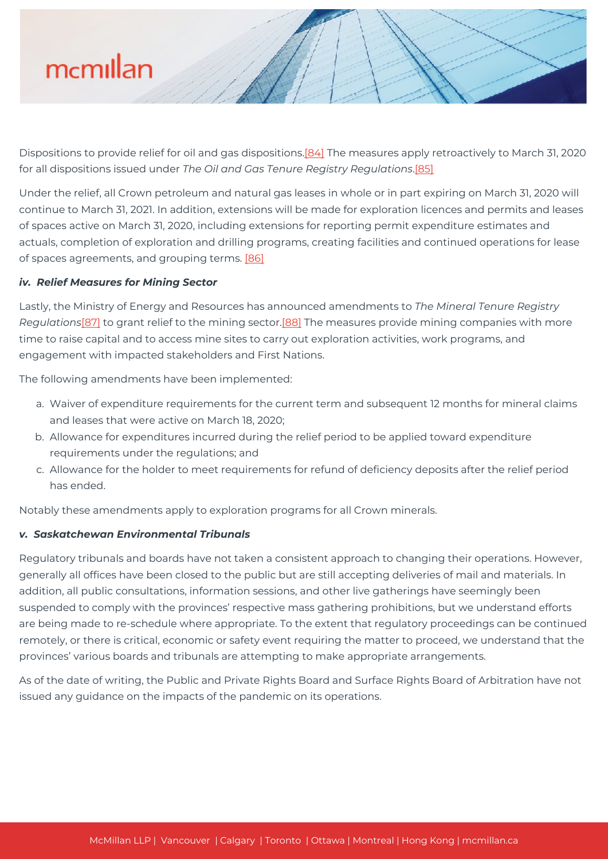Dispositions to provide relief for oil and gas dispositions[.\[84\]](#page--1-0) The measures apply retroactively to March 31, 2020 for all dispositions issued under *The Oil and Gas Tenure Registry Regulations*[.\[85\]](#page--1-0)

Under the relief, all Crown petroleum and natural gas leases in whole or in part expiring on March 31, 2020 will continue to March 31, 2021. In addition, extensions will be made for exploration licences and permits and leases of spaces active on March 31, 2020, including extensions for reporting permit expenditure estimates and actuals, completion of exploration and drilling programs, creating facilities and continued operations for lease of spaces agreements, and grouping terms. [\[86\]](#page--1-0)

#### *iv. Relief Measures for Mining Sector*

Lastly, the Ministry of Energy and Resources has announced amendments to *The Mineral Tenure Registry Regulations*[\[87\]](#page--1-0) to grant relief to the mining sector[.\[88\]](#page--1-0) The measures provide mining companies with more time to raise capital and to access mine sites to carry out exploration activities, work programs, and engagement with impacted stakeholders and First Nations.

The following amendments have been implemented:

- a. Waiver of expenditure requirements for the current term and subsequent 12 months for mineral claims and leases that were active on March 18, 2020;
- b. Allowance for expenditures incurred during the relief period to be applied toward expenditure requirements under the regulations; and
- c. Allowance for the holder to meet requirements for refund of deficiency deposits after the relief period has ended.

Notably these amendments apply to exploration programs for all Crown minerals.

#### *v. Saskatchewan Environmental Tribunals*

Regulatory tribunals and boards have not taken a consistent approach to changing their operations. However, generally all offices have been closed to the public but are still accepting deliveries of mail and materials. In addition, all public consultations, information sessions, and other live gatherings have seemingly been suspended to comply with the provinces' respective mass gathering prohibitions, but we understand efforts are being made to re-schedule where appropriate. To the extent that regulatory proceedings can be continued remotely, or there is critical, economic or safety event requiring the matter to proceed, we understand that the provinces' various boards and tribunals are attempting to make appropriate arrangements.

As of the date of writing, the Public and Private Rights Board and Surface Rights Board of Arbitration have not issued any guidance on the impacts of the pandemic on its operations.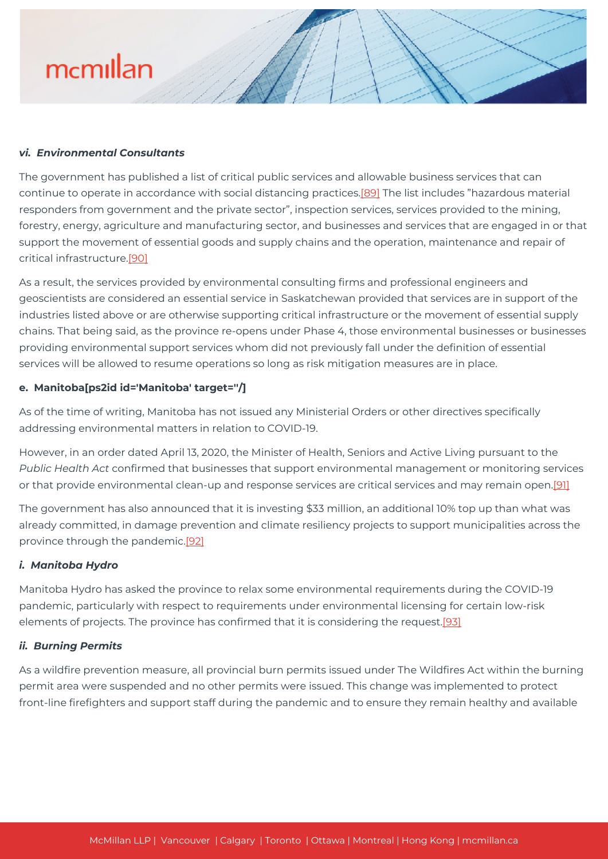#### *vi. Environmental Consultants*

The government has published a list of critical public services and allowable business services that can continue to operate in accordance with social distancing practices[.\[89\]](#page--1-0) The list includes "hazardous material responders from government and the private sector", inspection services, services provided to the mining, forestry, energy, agriculture and manufacturing sector, and businesses and services that are engaged in or that support the movement of essential goods and supply chains and the operation, maintenance and repair of critical infrastructure.[\[90\]](#page--1-0)

As a result, the services provided by environmental consulting firms and professional engineers and geoscientists are considered an essential service in Saskatchewan provided that services are in support of the industries listed above or are otherwise supporting critical infrastructure or the movement of essential supply chains. That being said, as the province re-opens under Phase 4, those environmental businesses or businesses providing environmental support services whom did not previously fall under the definition of essential services will be allowed to resume operations so long as risk mitigation measures are in place.

#### **e. Manitoba[ps2id id='Manitoba' target=''/]**

As of the time of writing, Manitoba has not issued any Ministerial Orders or other directives specifically addressing environmental matters in relation to COVID-19.

However, in an order dated April 13, 2020, the Minister of Health, Seniors and Active Living pursuant to the *Public Health Act* confirmed that businesses that support environmental management or monitoring services or that provide environmental clean-up and response services are critical services and may remain open.<sup>[\[91\]](#page--1-0)</sup>

The government has also announced that it is investing \$33 million, an additional 10% top up than what was already committed, in damage prevention and climate resiliency projects to support municipalities across the province through the pandemic.[\[92\]](#page--1-0)

#### *i. Manitoba Hydro*

Manitoba Hydro has asked the province to relax some environmental requirements during the COVID-19 pandemic, particularly with respect to requirements under environmental licensing for certain low-risk elements of projects. The province has confirmed that it is considering the request.[\[93\]](#page--1-0)

#### *ii. Burning Permits*

As a wildfire prevention measure, all provincial burn permits issued under The Wildfires Act within the burning permit area were suspended and no other permits were issued. This change was implemented to protect front-line firefighters and support staff during the pandemic and to ensure they remain healthy and available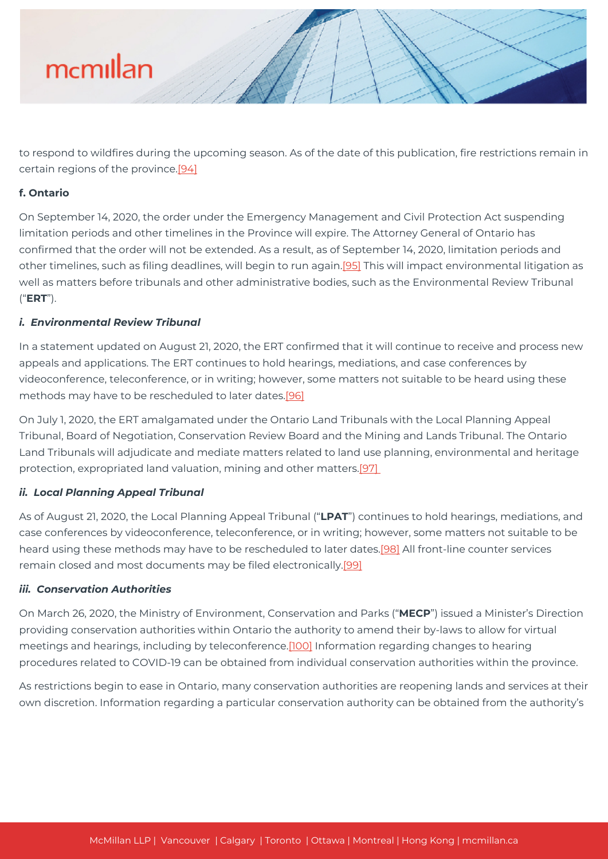

to respond to wildfires during the upcoming season. As of the date of this publication, fire restrictions remain in certain regions of the province.<sup>[94]</sup>

#### **f. Ontario**

On September 14, 2020, the order under the Emergency Management and Civil Protection Act suspending limitation periods and other timelines in the Province will expire. The Attorney General of Ontario has confirmed that the order will not be extended. As a result, as of September 14, 2020, limitation periods and other timelines, such as filing deadlines, will begin to run again[.\[95\]](#page--1-0) This will impact environmental litigation as well as matters before tribunals and other administrative bodies, such as the Environmental Review Tribunal ("**ERT**").

#### *i. Environmental Review Tribunal*

In a statement updated on August 21, 2020, the ERT confirmed that it will continue to receive and process new appeals and applications. The ERT continues to hold hearings, mediations, and case conferences by videoconference, teleconference, or in writing; however, some matters not suitable to be heard using these methods may have to be rescheduled to later dates.[\[96\]](#page--1-0)

On July 1, 2020, the ERT amalgamated under the Ontario Land Tribunals with the Local Planning Appeal Tribunal, Board of Negotiation, Conservation Review Board and the Mining and Lands Tribunal. The Ontario Land Tribunals will adjudicate and mediate matters related to land use planning, environmental and heritage protection, expropriated land valuation, mining and other matters.[\[97\]](#page--1-0) 

#### *ii. Local Planning Appeal Tribunal*

As of August 21, 2020, the Local Planning Appeal Tribunal ("**LPAT**") continues to hold hearings, mediations, and case conferences by videoconference, teleconference, or in writing; however, some matters not suitable to be heard using these methods may have to be rescheduled to later dates.[\[98\]](#page--1-0) All front-line counter services remain closed and most documents may be filed electronically[.\[99\]](#page--1-0)

#### *iii. Conservation Authorities*

On March 26, 2020, the Ministry of Environment, Conservation and Parks ("**MECP**") issued a Minister's Direction providing conservation authorities within Ontario the authority to amend their by-laws to allow for virtual meetings and hearings, including by teleconference.[\[100\]](#page--1-0) Information regarding changes to hearing procedures related to COVID-19 can be obtained from individual conservation authorities within the province.

As restrictions begin to ease in Ontario, many conservation authorities are reopening lands and services at their own discretion. Information regarding a particular conservation authority can be obtained from the authority's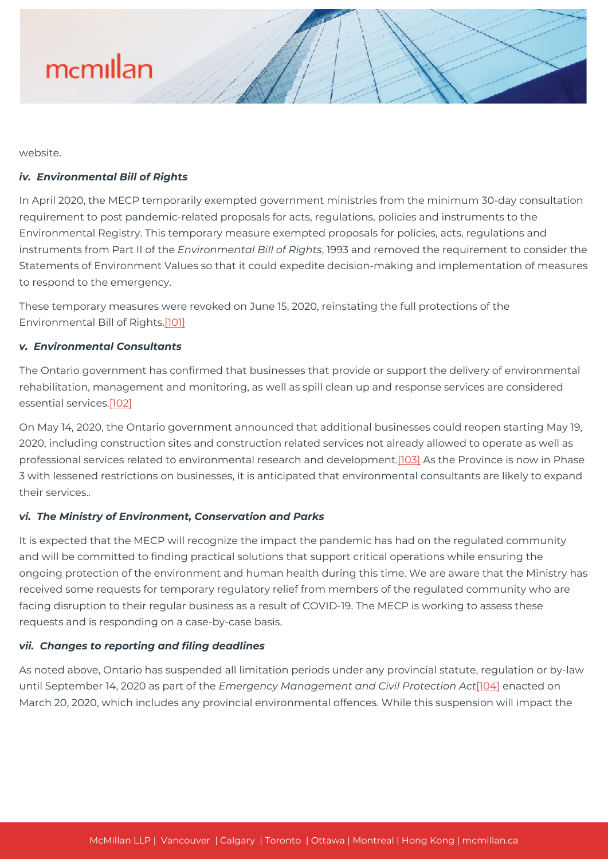

website.

#### *iv. Environmental Bill of Rights*

In April 2020, the MECP temporarily exempted government ministries from the minimum 30-day consultation requirement to post pandemic-related proposals for acts, regulations, policies and instruments to the Environmental Registry. This temporary measure exempted proposals for policies, acts, regulations and instruments from Part II of the *Environmental Bill of Rights*, 1993 and removed the requirement to consider the Statements of Environment Values so that it could expedite decision-making and implementation of measures to respond to the emergency.

These temporary measures were revoked on June 15, 2020, reinstating the full protections of the Environmental Bill of Rights[.\[101\]](#page--1-0)

#### *v. Environmental Consultants*

The Ontario government has confirmed that businesses that provide or support the delivery of environmental rehabilitation, management and monitoring, as well as spill clean up and response services are considered essential services[.\[102\]](#page--1-0)

On May 14, 2020, the Ontario government announced that additional businesses could reopen starting May 19, 2020, including construction sites and construction related services not already allowed to operate as well as professional services related to environmental research and development.[\[103\]](#page--1-0) As the Province is now in Phase 3 with lessened restrictions on businesses, it is anticipated that environmental consultants are likely to expand their services..

#### *vi. The Ministry of Environment, Conservation and Parks*

It is expected that the MECP will recognize the impact the pandemic has had on the regulated community and will be committed to finding practical solutions that support critical operations while ensuring the ongoing protection of the environment and human health during this time. We are aware that the Ministry has received some requests for temporary regulatory relief from members of the regulated community who are facing disruption to their regular business as a result of COVID-19. The MECP is working to assess these requests and is responding on a case-by-case basis.

#### *vii. Changes to reporting and filing deadlines*

As noted above, Ontario has suspended all limitation periods under any provincial statute, regulation or by-law until September 14, 2020 as part of the *Emergency Management and Civil Protection Act*[\[104\]](#page--1-0) enacted on March 20, 2020, which includes any provincial environmental offences. While this suspension will impact the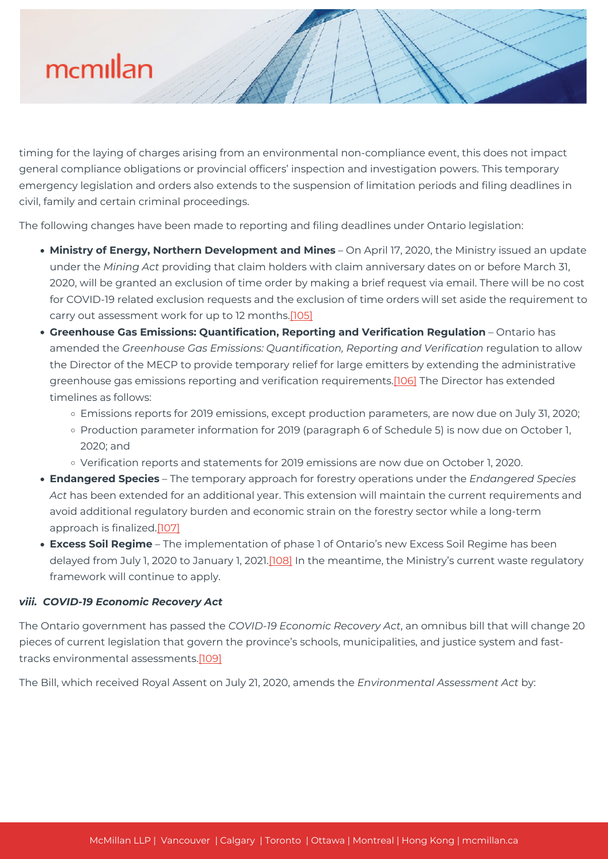timing for the laying of charges arising from an environmental non-compliance event, this does not impact general compliance obligations or provincial officers' inspection and investigation powers. This temporary emergency legislation and orders also extends to the suspension of limitation periods and filing deadlines in civil, family and certain criminal proceedings.

The following changes have been made to reporting and filing deadlines under Ontario legislation:

- **Ministry of Energy, Northern Development and Mines** On April 17, 2020, the Ministry issued an update under the *Mining Act* providing that claim holders with claim anniversary dates on or before March 31, 2020, will be granted an exclusion of time order by making a brief request via email. There will be no cost for COVID-19 related exclusion requests and the exclusion of time orders will set aside the requirement to carry out assessment work for up to 12 months[.\[105\]](#page--1-0)
- **Greenhouse Gas Emissions: Quantification, Reporting and Verification Regulation** Ontario has amended the *Greenhouse Gas Emissions: Quantification, Reporting and Verification* regulation to allow the Director of the MECP to provide temporary relief for large emitters by extending the administrative greenhouse gas emissions reporting and verification requirements.[\[106\]](#page--1-0) The Director has extended timelines as follows:
	- Emissions reports for 2019 emissions, except production parameters, are now due on July 31, 2020;
	- o Production parameter information for 2019 (paragraph 6 of Schedule 5) is now due on October 1, 2020; and
	- Verification reports and statements for 2019 emissions are now due on October 1, 2020.
- **Endangered Species** The temporary approach for forestry operations under the *Endangered Species Act* has been extended for an additional year. This extension will maintain the current requirements and avoid additional regulatory burden and economic strain on the forestry sector while a long-term approach is finalized.[\[107\]](#page--1-0)
- **Excess Soil Regime** The implementation of phase 1 of Ontario's new Excess Soil Regime has been delayed from July 1, 2020 to January 1, 2021[.\[108\]](#page--1-0) In the meantime, the Ministry's current waste regulatory framework will continue to apply.

#### *viii. COVID-19 Economic Recovery Act*

The Ontario government has passed the *COVID-19 Economic Recovery Act*, an omnibus bill that will change 20 pieces of current legislation that govern the province's schools, municipalities, and justice system and fasttracks environmental assessments.[\[109\]](#page--1-0)

The Bill, which received Royal Assent on July 21, 2020, amends the *Environmental Assessment Act* by: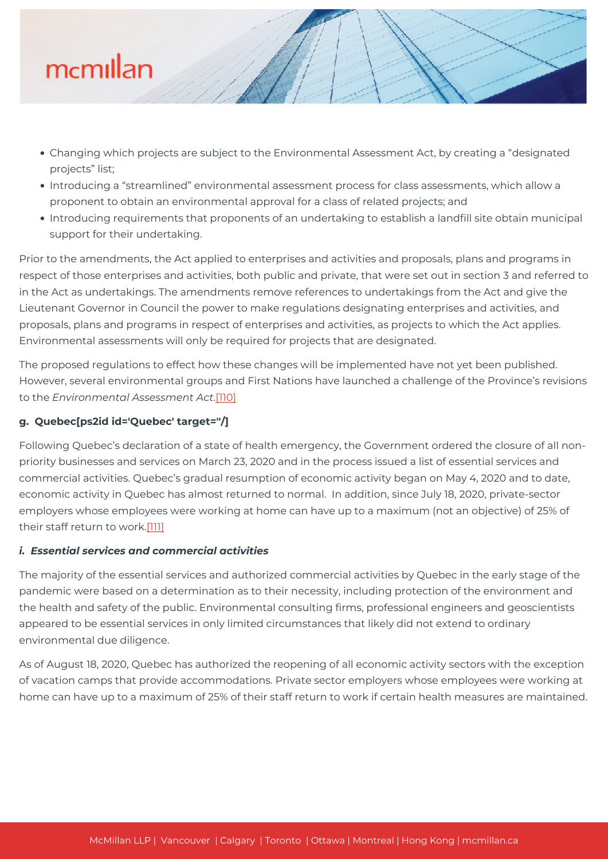

- Changing which projects are subject to the Environmental Assessment Act, by creating a "designated projects" list;
- Introducing a "streamlined" environmental assessment process for class assessments, which allow a proponent to obtain an environmental approval for a class of related projects; and
- Introducing requirements that proponents of an undertaking to establish a landfill site obtain municipal support for their undertaking.

Prior to the amendments, the Act applied to enterprises and activities and proposals, plans and programs in respect of those enterprises and activities, both public and private, that were set out in section 3 and referred to in the Act as undertakings. The amendments remove references to undertakings from the Act and give the Lieutenant Governor in Council the power to make regulations designating enterprises and activities, and proposals, plans and programs in respect of enterprises and activities, as projects to which the Act applies. Environmental assessments will only be required for projects that are designated.

The proposed regulations to effect how these changes will be implemented have not yet been published. However, several environmental groups and First Nations have launched a challenge of the Province's revisions to the *Environmental Assessment Act*[.\[110\]](#page--1-0)

#### **g. Quebec[ps2id id='Quebec' target=''/]**

Following Quebec's declaration of a state of health emergency, the Government ordered the closure of all nonpriority businesses and services on March 23, 2020 and in the process issued a list of essential services and commercial activities. Quebec's gradual resumption of economic activity began on May 4, 2020 and to date, economic activity in Quebec has almost returned to normal. In addition, since July 18, 2020, private-sector employers whose employees were working at home can have up to a maximum (not an objective) of 25% of their staff return to work.[\[111\]](#page--1-0)

#### *i. Essential services and commercial activities*

The majority of the essential services and authorized commercial activities by Quebec in the early stage of the pandemic were based on a determination as to their necessity, including protection of the environment and the health and safety of the public. Environmental consulting firms, professional engineers and geoscientists appeared to be essential services in only limited circumstances that likely did not extend to ordinary environmental due diligence.

As of August 18, 2020, Quebec has authorized the reopening of all economic activity sectors with the exception of vacation camps that provide accommodations. Private sector employers whose employees were working at home can have up to a maximum of 25% of their staff return to work if certain health measures are maintained.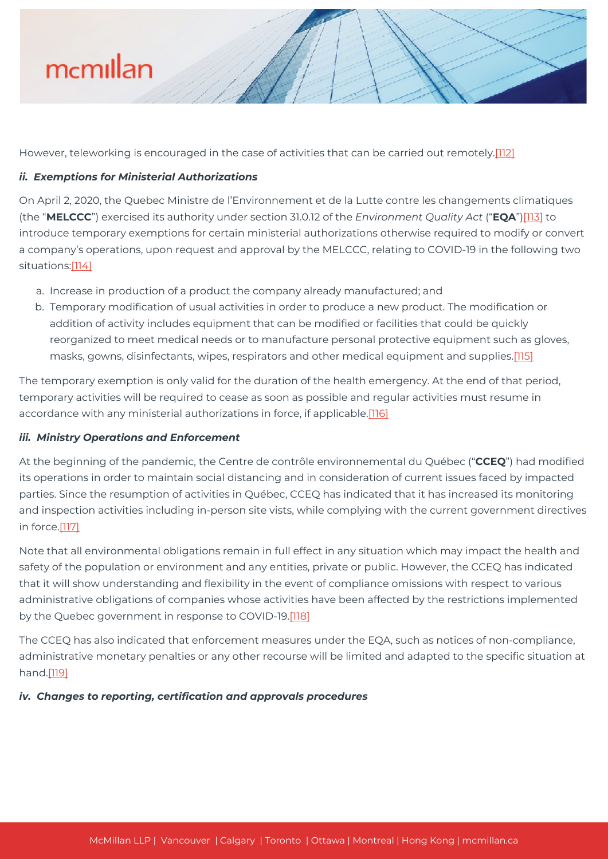However, teleworking is encouraged in the case of activities that can be carried out remotely.[\[112\]](#page--1-0)

#### *ii. Exemptions for Ministerial Authorizations*

On April 2, 2020, the Quebec Ministre de l'Environnement et de la Lutte contre les changements climatiques (the "**MELCCC**") exercised its authority under section 31.0.12 of the *Environment Quality Act* ("**EQA**")[\[113\]](#page--1-0) to introduce temporary exemptions for certain ministerial authorizations otherwise required to modify or convert a company's operations, upon request and approval by the MELCCC, relating to COVID-19 in the following two situations:[\[114\]](#page--1-0)

- a. Increase in production of a product the company already manufactured; and
- b. Temporary modification of usual activities in order to produce a new product. The modification or addition of activity includes equipment that can be modified or facilities that could be quickly reorganized to meet medical needs or to manufacture personal protective equipment such as gloves, masks, gowns, disinfectants, wipes, respirators and other medical equipment and supplies[.\[115\]](#page--1-0)

The temporary exemption is only valid for the duration of the health emergency. At the end of that period, temporary activities will be required to cease as soon as possible and regular activities must resume in accordance with any ministerial authorizations in force, if applicable.[\[116\]](#page--1-0)

#### *iii. Ministry Operations and Enforcement*

At the beginning of the pandemic, the Centre de contrôle environnemental du Québec ("**CCEQ**") had modified its operations in order to maintain social distancing and in consideration of current issues faced by impacted parties. Since the resumption of activities in Québec, CCEQ has indicated that it has increased its monitoring and inspection activities including in-person site vists, while complying with the current government directives in force[.\[117\]](#page--1-0)

Note that all environmental obligations remain in full effect in any situation which may impact the health and safety of the population or environment and any entities, private or public. However, the CCEQ has indicated that it will show understanding and flexibility in the event of compliance omissions with respect to various administrative obligations of companies whose activities have been affected by the restrictions implemented by the Quebec government in response to COVID-19.<sup>[\[118\]](#page--1-0)</sup>

The CCEQ has also indicated that enforcement measures under the EQA, such as notices of non-compliance, administrative monetary penalties or any other recourse will be limited and adapted to the specific situation at hand[.\[119\]](#page--1-0)

*iv. Changes to reporting, certification and approvals procedures*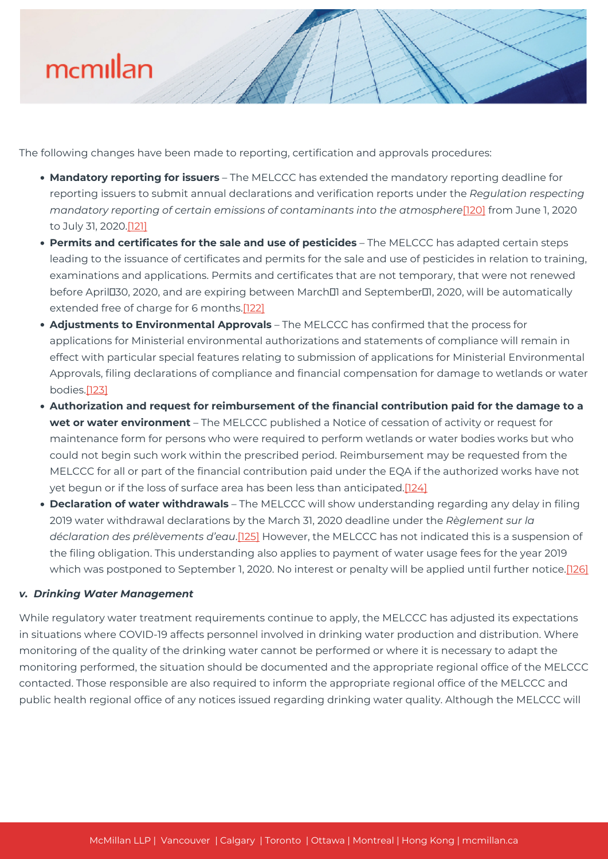The following changes have been made to reporting, certification and approvals procedures:

- **Mandatory reporting for issuers** The MELCCC has extended the mandatory reporting deadline for reporting issuers to submit annual declarations and verification reports under the *Regulation respecting mandatory reporting of certain emissions of contaminants into the atmosphere*[\[120\]](#page--1-0) from June 1, 2020 to July 31, 2020.[\[121\]](#page--1-0)
- **Permits and certificates for the sale and use of pesticides** The MELCCC has adapted certain steps leading to the issuance of certificates and permits for the sale and use of pesticides in relation to training, examinations and applications. Permits and certificates that are not temporary, that were not renewed before AprilD30, 2020, and are expiring between March<sup>[1]</sup> and September<sup>[1]</sup>, 2020, will be automatically extended free of charge for 6 months.[\[122\]](#page--1-0)
- **Adjustments to Environmental Approvals** The MELCCC has confirmed that the process for applications for Ministerial environmental authorizations and statements of compliance will remain in effect with particular special features relating to submission of applications for Ministerial Environmental Approvals, filing declarations of compliance and financial compensation for damage to wetlands or water bodies[.\[123\]](#page--1-0)
- **Authorization and request for reimbursement of the financial contribution paid for the damage to a wet or water environment** – The MELCCC published a Notice of cessation of activity or request for maintenance form for persons who were required to perform wetlands or water bodies works but who could not begin such work within the prescribed period. Reimbursement may be requested from the MELCCC for all or part of the financial contribution paid under the EQA if the authorized works have not yet begun or if the loss of surface area has been less than anticipated[.\[124\]](#page--1-0)
- **Declaration of water withdrawals** The MELCCC will show understanding regarding any delay in filing 2019 water withdrawal declarations by the March 31, 2020 deadline under the *Règlement sur la déclaration des prélèvements d'eau*.[\[125\]](#page--1-0) However, the MELCCC has not indicated this is a suspension of the filing obligation. This understanding also applies to payment of water usage fees for the year 2019 which was postponed to September 1, 2020. No interest or penalty will be applied until further notice.[\[126\]](#page--1-0)

#### *v. Drinking Water Management*

While regulatory water treatment requirements continue to apply, the MELCCC has adjusted its expectations in situations where COVID-19 affects personnel involved in drinking water production and distribution. Where monitoring of the quality of the drinking water cannot be performed or where it is necessary to adapt the monitoring performed, the situation should be documented and the appropriate regional office of the MELCCC contacted. Those responsible are also required to inform the appropriate regional office of the MELCCC and public health regional office of any notices issued regarding drinking water quality. Although the MELCCC will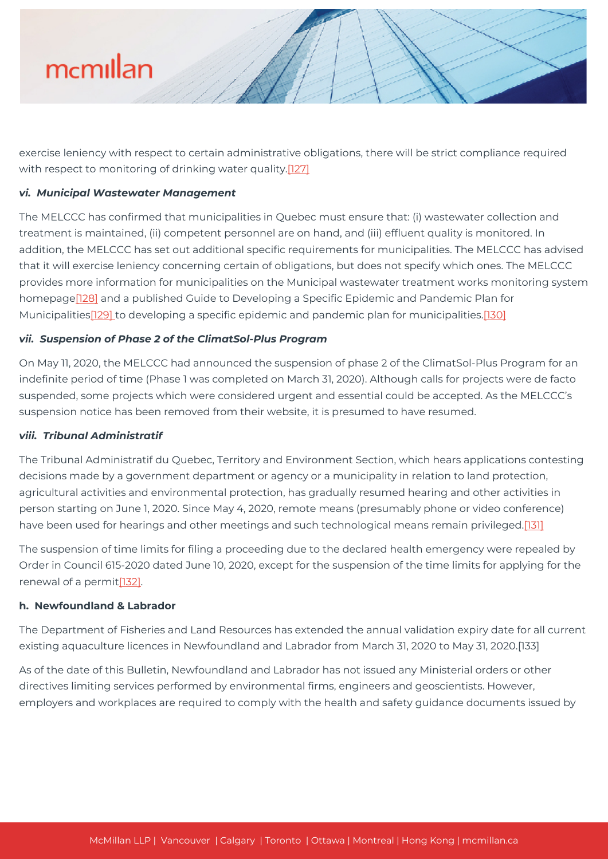

exercise leniency with respect to certain administrative obligations, there will be strict compliance required with respect to monitoring of drinking water quality.[\[127\]](#page--1-0)

#### *vi. Municipal Wastewater Management*

The MELCCC has confirmed that municipalities in Quebec must ensure that: (i) wastewater collection and treatment is maintained, (ii) competent personnel are on hand, and (iii) effluent quality is monitored. In addition, the MELCCC has set out additional specific requirements for municipalities. The MELCCC has advised that it will exercise leniency concerning certain of obligations, but does not specify which ones. The MELCCC provides more information for municipalities on the Municipal wastewater treatment works monitoring system homepag[e\[128\]](#page--1-0) and a published Guide to Developing a Specific Epidemic and Pandemic Plan for Municipalities[\[129\] t](#page--1-0)o developing a specific epidemic and pandemic plan for municipalities.[\[130\]](#page--1-0)

#### *vii. Suspension of Phase 2 of the ClimatSol-Plus Program*

On May 11, 2020, the MELCCC had announced the suspension of phase 2 of the ClimatSol-Plus Program for an indefinite period of time (Phase 1 was completed on March 31, 2020). Although calls for projects were de facto suspended, some projects which were considered urgent and essential could be accepted. As the MELCCC's suspension notice has been removed from their website, it is presumed to have resumed.

#### *viii. Tribunal Administratif*

The Tribunal Administratif du Quebec, Territory and Environment Section, which hears applications contesting decisions made by a government department or agency or a municipality in relation to land protection, agricultural activities and environmental protection, has gradually resumed hearing and other activities in person starting on June 1, 2020. Since May 4, 2020, remote means (presumably phone or video conference) have been used for hearings and other meetings and such technological means remain privileged[.\[131\]](#page--1-0)

The suspension of time limits for filing a proceeding due to the declared health emergency were repealed by Order in Council 615-2020 dated June 10, 2020, except for the suspension of the time limits for applying for the renewal of a permit[\[132\].](#page--1-0)

#### **h. Newfoundland & Labrador**

The Department of Fisheries and Land Resources has extended the annual validation expiry date for all current existing aquaculture licences in Newfoundland and Labrador from March 31, 2020 to May 31, 2020.[133]

As of the date of this Bulletin, Newfoundland and Labrador has not issued any Ministerial orders or other directives limiting services performed by environmental firms, engineers and geoscientists. However, employers and workplaces are required to comply with the health and safety guidance documents issued by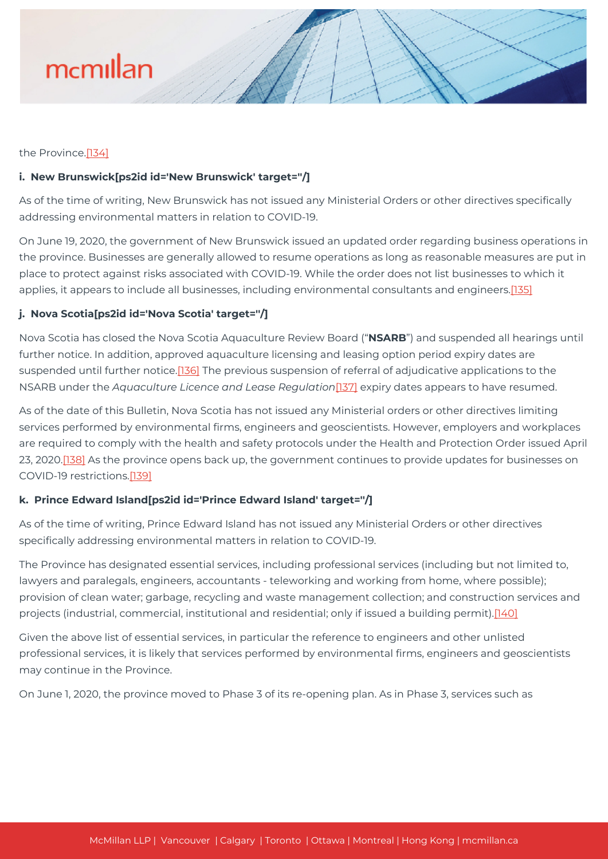

#### the Province[.\[134\]](#page--1-0)

#### **i. New Brunswick[ps2id id='New Brunswick' target=''/]**

As of the time of writing, New Brunswick has not issued any Ministerial Orders or other directives specifically addressing environmental matters in relation to COVID-19.

On June 19, 2020, the government of New Brunswick issued an updated order regarding business operations in the province. Businesses are generally allowed to resume operations as long as reasonable measures are put in place to protect against risks associated with COVID-19. While the order does not list businesses to which it applies, it appears to include all businesses, including environmental consultants and engineers[.\[135\]](#page--1-0)

#### **j. Nova Scotia[ps2id id='Nova Scotia' target=''/]**

Nova Scotia has closed the Nova Scotia Aquaculture Review Board ("**NSARB**") and suspended all hearings until further notice. In addition, approved aquaculture licensing and leasing option period expiry dates are suspended until further notice.[\[136\]](#page--1-0) The previous suspension of referral of adjudicative applications to the NSARB under the *Aquaculture Licence and Lease Regulation*[\[137\]](#page--1-0) expiry dates appears to have resumed.

As of the date of this Bulletin, Nova Scotia has not issued any Ministerial orders or other directives limiting services performed by environmental firms, engineers and geoscientists. However, employers and workplaces are required to comply with the health and safety protocols under the Health and Protection Order issued April 23, 2020.[\[138\]](#page--1-0) As the province opens back up, the government continues to provide updates for businesses on COVID-19 restrictions.[\[139\]](#page--1-0)

#### **k. Prince Edward Island[ps2id id='Prince Edward Island' target=''/]**

As of the time of writing, Prince Edward Island has not issued any Ministerial Orders or other directives specifically addressing environmental matters in relation to COVID-19.

The Province has designated essential services, including professional services (including but not limited to, lawyers and paralegals, engineers, accountants - teleworking and working from home, where possible); provision of clean water; garbage, recycling and waste management collection; and construction services and projects (industrial, commercial, institutional and residential; only if issued a building permit).[\[140\]](#page--1-0)

Given the above list of essential services, in particular the reference to engineers and other unlisted professional services, it is likely that services performed by environmental firms, engineers and geoscientists may continue in the Province.

On June 1, 2020, the province moved to Phase 3 of its re-opening plan. As in Phase 3, services such as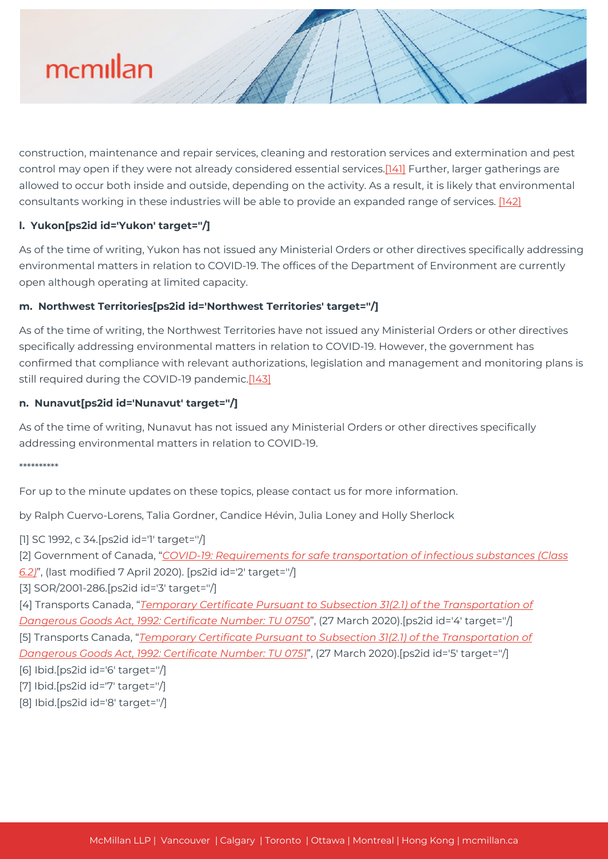

construction, maintenance and repair services, cleaning and restoration services and extermination and pest control may open if they were not already considered essential services[.\[141\]](#page--1-0) Further, larger gatherings are allowed to occur both inside and outside, depending on the activity. As a result, it is likely that environmental consultants working in these industries will be able to provide an expanded range of services. [\[142\]](#page--1-0)

#### **l. Yukon[ps2id id='Yukon' target=''/]**

As of the time of writing, Yukon has not issued any Ministerial Orders or other directives specifically addressing environmental matters in relation to COVID-19. The offices of the Department of Environment are currently open although operating at limited capacity.

#### **m. Northwest Territories[ps2id id='Northwest Territories' target=''/]**

As of the time of writing, the Northwest Territories have not issued any Ministerial Orders or other directives specifically addressing environmental matters in relation to COVID-19. However, the government has confirmed that compliance with relevant authorizations, legislation and management and monitoring plans is still required during the COVID-19 pandemic[.\[143\]](#page--1-0)

#### **n. Nunavut[ps2id id='Nunavut' target=''/]**

As of the time of writing, Nunavut has not issued any Ministerial Orders or other directives specifically addressing environmental matters in relation to COVID-19.

#### \*\*\*\*\*\*\*\*\*\*

For up to the minute updates on these topics, please contact us for more information.

by Ralph Cuervo-Lorens, Talia Gordner, Candice Hévin, Julia Loney and Holly Sherlock

[1] SC 1992, c 34.[ps2id id='1' target=''/]

[2] Government of Canada, "*[COVID-19: Requirements for safe transportation of infectious substances \(Class](https://tc.canada.ca/en/dangerous-goods/covid-19-requirements-safe-transportation-infectious-substances-class-62)*

*[6.2\)](https://tc.canada.ca/en/dangerous-goods/covid-19-requirements-safe-transportation-infectious-substances-class-62)*", (last modified 7 April 2020). [ps2id id='2' target=''/]

[3] SOR/2001-286.[ps2id id='3' target=''/]

[4] Transports Canada, "*[Temporary Certificate Pursuant to Subsection 31\(2.1\) of the Transportation of](https://tc.canada.ca/en/dangerous-goods/covid-19-requirements-safe-transportation-infectious-substances-class-62) [Dangerous Goods Act, 1992: Certificate Number: TU 0750](https://tc.canada.ca/en/dangerous-goods/covid-19-requirements-safe-transportation-infectious-substances-class-62)*", (27 March 2020).[ps2id id='4' target=''/] [5] Transports Canada, "*[Temporary Certificate Pursuant to Subsection 31\(2.1\) of the Transportation of](https://mcmillan.ca/wp-content/uploads/2020/09/0750-eng-transportation_of_dangerous_directorate_transport_canada.pdf) [Dangerous Goods Act, 1992: Certificate Number: TU 0751](https://mcmillan.ca/wp-content/uploads/2020/09/0750-eng-transportation_of_dangerous_directorate_transport_canada.pdf)*", (27 March 2020).[ps2id id='5' target=''/]

- [6] Ibid.[ps2id id='6' target=''/]
- [7] Ibid.[ps2id id='7' target=''/]
- [8] Ibid.[ps2id id='8' target=''/]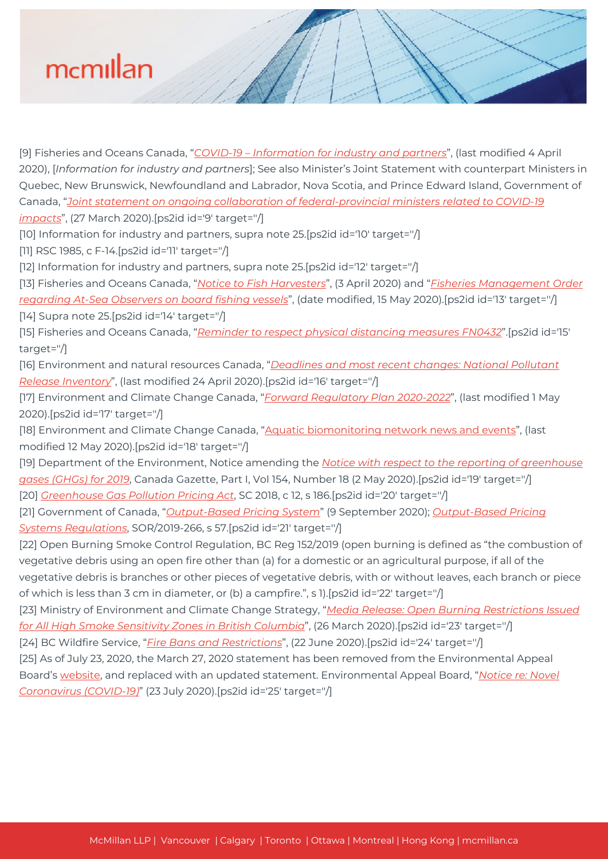

[9] Fisheries and Oceans Canada, "*[COVID-19 – Information for industry and partners](http://www.dfo-mpo.gc.ca/covid19/industry-industrie/index-eng.html)*", (last modified 4 April 2020), [*Information for industry and partners*]; See also Minister's Joint Statement with counterpart Ministers in Quebec, New Brunswick, Newfoundland and Labrador, Nova Scotia, and Prince Edward Island, Government of Canada, "*[Joint statement on ongoing collaboration of federal-provincial ministers related to COVID-19](https://www.canada.ca/en/fisheries-oceans/news/2020/03/joint-statement-on-ongoing-collaboration-of-federal-provincial-ministers-related-to-covid-19-impacts.html) [impacts](https://www.canada.ca/en/fisheries-oceans/news/2020/03/joint-statement-on-ongoing-collaboration-of-federal-provincial-ministers-related-to-covid-19-impacts.html)*", (27 March 2020).[ps2id id='9' target=''/]

[10] Information for industry and partners, supra note 25.[ps2id id='10' target=''/]

[11] RSC 1985, c F-14.[ps2id id='11' target=''/]

[12] Information for industry and partners, supra note 25.[ps2id id='12' target="/]

[13] Fisheries and Oceans Canada, "*[Notice to Fish Harvesters](http://www.nfl.dfo-mpo.gc.ca/NL/CP/Orders/2020/nf20056FishMgmtOrderAtSeaObservers)*", (3 April 2020) and "*[Fisheries Management Order](http://www.dfo-mpo.gc.ca/fisheries-peches/commercial-commerciale/atl-arc/2020/observers-observateurs-eng.html) [regarding At-Sea Observers on board fishing vessels](http://www.dfo-mpo.gc.ca/fisheries-peches/commercial-commerciale/atl-arc/2020/observers-observateurs-eng.html)*", (date modified, 15 May 2020).[ps2id id='13' target=''/]

[14] Supra note 25.[ps2id id='14' target=''/]

[15] Fisheries and Oceans Canada, "*[Reminder to respect physical distancing measures FN0432](https://notices.dfo-mpo.gc.ca/fns-sap/index-eng.cfm?pg=view_notice&DOC_ID=232217&ID=all)*".[ps2id id='15' target=''/]

[16] Environment and natural resources Canada, "*[Deadlines and most recent changes: National Pollutant](https://www.canada.ca/en/environment-climate-change/services/national-pollutant-release-inventory/report/deadlines-changes.html) [Release Inventory](https://www.canada.ca/en/environment-climate-change/services/national-pollutant-release-inventory/report/deadlines-changes.html)*", (last modified 24 April 2020).[ps2id id='16' target=''/]

[17] Environment and Climate Change Canada, "*[Forward Regulatory Plan 2020-2022](https://www.canada.ca/en/environment-climate-change/corporate/transparency/acts-regulations/forward-regulatory-plan.html)*", (last modified 1 May 2020).[ps2id id='17' target=''/]

[18] Environment and Climate Change Canada, ["Aquatic biomonitoring network news and events](https://www.canada.ca/en/environment-climate-change/services/canadian-aquatic-biomonitoring-network/news-events.html)", (last modified 12 May 2020).[ps2id id='18' target=''/]

[19] Department of the Environment, Notice amending the *[Notice with respect to the reporting of greenhouse](http://gazette.gc.ca/rp-pr/p1/2020/2020-05-02/html/notice-avis-eng.html#ne2) [gases \(GHGs\) for 2019](http://gazette.gc.ca/rp-pr/p1/2020/2020-05-02/html/notice-avis-eng.html#ne2)*, Canada Gazette, Part I, Vol 154, Number 18 (2 May 2020).[ps2id id='19' target="/] [20] *[Greenhouse Gas Pollution Pricing Act](https://laws-lois.justice.gc.ca/eng/acts/G-11.55/)*, SC 2018, c 12, s 186.[ps2id id='20' target=''/]

[21] Government of Canada, "*[Output-Based Pricing System](https://www.canada.ca/en/environment-climate-change/services/climate-change/pricing-pollution-how-it-will-work/output-based-pricing-system.html)*" (9 September 2020); *[Output-Based Pricing](https://laws-lois.justice.gc.ca/eng/regulations/SOR-2019-266/index.html) [Systems Regulations](https://laws-lois.justice.gc.ca/eng/regulations/SOR-2019-266/index.html)*, SOR/2019-266, s 57.[ps2id id='21' target=''/]

[22] Open Burning Smoke Control Regulation, BC Reg 152/2019 (open burning is defined as "the combustion of vegetative debris using an open fire other than (a) for a domestic or an agricultural purpose, if all of the vegetative debris is branches or other pieces of vegetative debris, with or without leaves, each branch or piece of which is less than 3 cm in diameter, or (b) a campfire.", s 1).[ps2id id='22' target=''/]

[23] Ministry of Environment and Climate Change Strategy, "*[Media Release: Open Burning Restrictions Issued](https://mcmillan.ca/wp-content/uploads/2020/09/2020-03-26_hssz_open_burning_restrictions_issued.pdf) [for All High Smoke Sensitivity Zones in British Columbia](https://mcmillan.ca/wp-content/uploads/2020/09/2020-03-26_hssz_open_burning_restrictions_issued.pdf)*", (26 March 2020).[ps2id id='23' target=''/]

[24] BC Wildfire Service, "*[Fire Bans and Restrictions](http://bcfireinfo.for.gov.bc.ca/hprScripts/WildfireNews/Bans.asp)*", (22 June 2020).[ps2id id='24' target=''/]

[25] As of July 23, 2020, the March 27, 2020 statement has been removed from the Environmental Appeal Board's [website](http://www.eab.gov.bc.ca/index.htm), and replaced with an updated statement. Environmental Appeal Board, "*[Notice re: Novel](https://mcmillan.ca/wp-content/uploads/2020/09/covid19-0720.pdf) [Coronavirus \(COVID-19\)](https://mcmillan.ca/wp-content/uploads/2020/09/covid19-0720.pdf)*" (23 July 2020).[ps2id id='25' target=''/]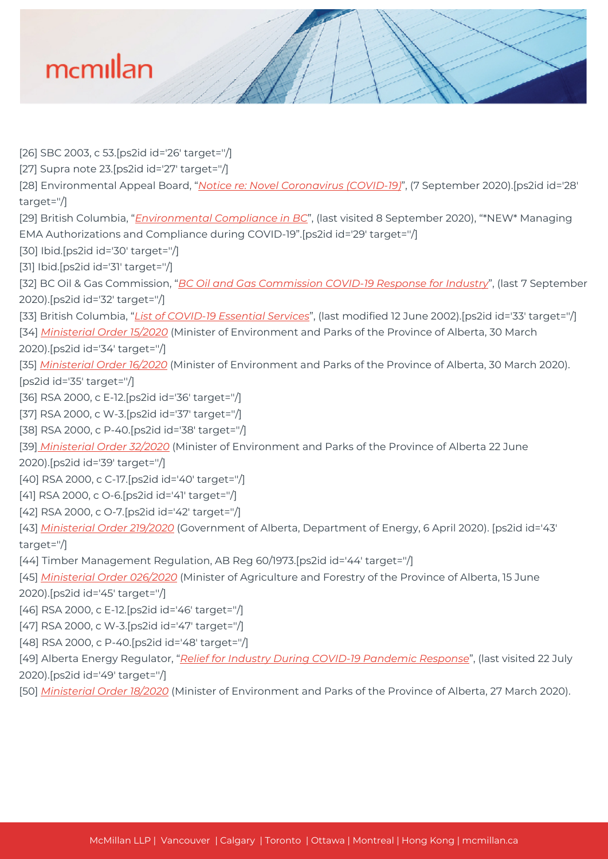[26] SBC 2003, c 53.[ps2id id='26' target=''/] [27] Supra note 23.[ps2id id='27' target=''/] [28] Environmental Appeal Board, "*[Notice re: Novel Coronavirus \(COVID-19\)](https://mcmillan.ca/wp-content/uploads/2020/09/covid19-0720.pdf)*", (7 September 2020).[ps2id id='28' target=''/] [29] British Columbia, "*[Environmental Compliance in BC](https://www2.gov.bc.ca/gov/content/environment/natural-resource-stewardship/natural-resource-law-enforcement/environmental-compliance)*", (last visited 8 September 2020), "\*NEW\* Managing EMA Authorizations and Compliance during COVID-19".[ps2id id='29' target=''/] [30] Ibid.[ps2id id='30' target=''/] [31] Ibid.[ps2id id='31' target=''/] [32] BC Oil & Gas Commission, "*[BC Oil and Gas Commission COVID-19 Response for Industry](https://www.bcogc.ca/news/bc-oil-and-gas-commission-covid-19-response-for-industry/)*", (last 7 September 2020).[ps2id id='32' target=''/] [33] British Columbia, "*[List of COVID-19 Essential Services](https://www2.gov.bc.ca/gov/content/safety/emergency-preparedness-response-recovery/covid-19-provincial-support/essential-services-covid-19)*", (last modified 12 June 2002).[ps2id id='33' target=''/] [34] *[Ministerial Order 15/2020](https://open.alberta.ca/publications/ministerial-order-15-2020-environment-and-parks)* (Minister of Environment and Parks of the Province of Alberta, 30 March 2020).[ps2id id='34' target=''/] [35] *[Ministerial Order 16/2020](https://open.alberta.ca/publications/ministerial-order-16-2020-environment-and-parks)* (Minister of Environment and Parks of the Province of Alberta, 30 March 2020). [ps2id id='35' target=''/] [36] RSA 2000, c E-12.[ps2id id='36' target=''/] [37] RSA 2000, c W-3.[ps2id id='37' target=''/] [38] RSA 2000, c P-40.[ps2id id='38' target=''/] [39] *[Ministerial Order 32/2020](https://open.alberta.ca/publications/ministerial-order-32-2020-environment-and-parks)* (Minister of Environment and Parks of the Province of Alberta 22 June 2020).[ps2id id='39' target=''/] [40] RSA 2000, c C-17.[ps2id id='40' target=''/] [41] RSA 2000, c O-6.[ps2id id='41' target=''/] [42] RSA 2000, c O-7.[ps2id id='42' target=''/] [43] *[Ministerial Order 219/2020](https://open.alberta.ca/publications/ministerial-order-219-2020-energy)* (Government of Alberta, Department of Energy, 6 April 2020). [ps2id id='43' target=''/] [44] Timber Management Regulation, AB Reg 60/1973.[ps2id id='44' target=''/] [45] *[Ministerial Order 026/2020](https://open.alberta.ca/publications/ministerial-order-026-2020-agriculture-and-forestry)* (Minister of Agriculture and Forestry of the Province of Alberta, 15 June 2020).[ps2id id='45' target=''/] [46] RSA 2000, c E-12.[ps2id id='46' target=''/] [47] RSA 2000, c W-3.[ps2id id='47' target="/] [48] RSA 2000, c P-40. [ps2id id='48' target="/] [49] Alberta Energy Regulator, "*[Relief for Industry During COVID-19 Pandemic Response](https://www.aer.ca/providing-information/news-and-resources/news-and-announcements/announcements/announcement-industry-relief.html)*", (last visited 22 July 2020).[ps2id id='49' target=''/]

[50] *[Ministerial Order 18/2020](https://open.alberta.ca/publications/ministerial-order-18-2020-environment-and-parks)* (Minister of Environment and Parks of the Province of Alberta, 27 March 2020).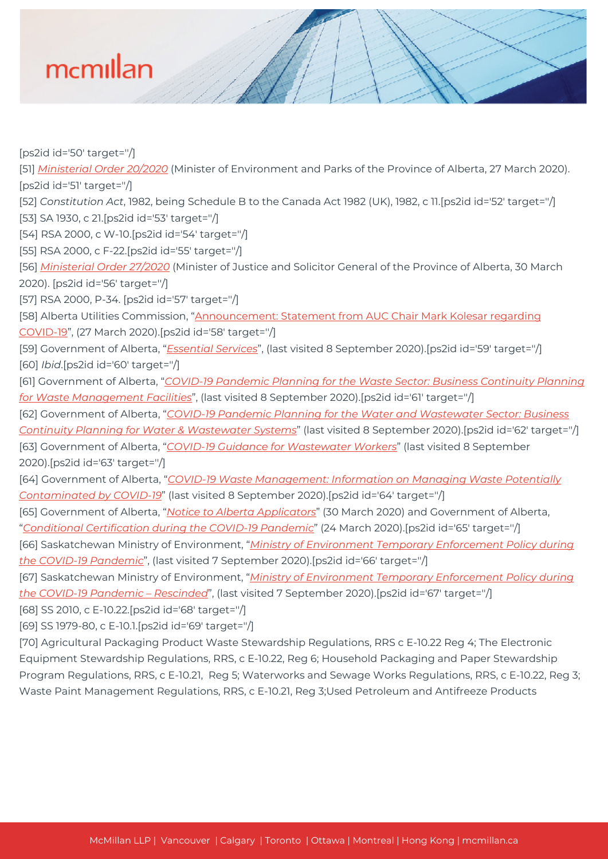[ps2id id='50' target=''/]

[51] *[Ministerial Order 20/2020](https://open.alberta.ca/publications/ministerial-order-20-2020-environment-and-parks)* (Minister of Environment and Parks of the Province of Alberta, 27 March 2020). [ps2id id='51' target=''/]

[52] *Constitution Act*, 1982, being Schedule B to the Canada Act 1982 (UK), 1982, c 11.[ps2id id='52' target=''/] [53] SA 1930, c 21.[ps2id id='53' target=''/]

[54] RSA 2000, c W-10.[ps2id id='54' target=''/]

[55] RSA 2000, c F-22.[ps2id id='55' target=''/]

[56] *[Ministerial Order 27/2020](https://open.alberta.ca/publications/ministerial-order-27-2020-justice-and-solicitor-general)* (Minister of Justice and Solicitor General of the Province of Alberta, 30 March 2020). [ps2id id='56' target=''/]

[57] RSA 2000, P-34. [ps2id id='57' target=''/]

[58] Alberta Utilities Commission, "[Announcement: Statement from AUC Chair Mark Kolesar regarding](https://mcmillan.ca/wp-content/uploads/2020/09/Announcement-templat.pdf) [COVID-19](https://mcmillan.ca/wp-content/uploads/2020/09/Announcement-templat.pdf)", (27 March 2020).[ps2id id='58' target=''/]

[59] Government of Alberta, "*[Essential Services](https://www.alberta.ca/restricted-and-non-restricted-services.aspx#toc-2)*", (last visited 8 September 2020).[ps2id id='59' target=''/] [60] *Ibid*.[ps2id id='60' target=''/]

[61] Government of Alberta, "*[COVID-19 Pandemic Planning for the Waste Sector: Business Continuity Planning](https://open.alberta.ca/publications/covid-19-pandemic-planning-for-the-waste-sector-business-continuity-planning-for-waste-management) [for Waste Management Facilities](https://open.alberta.ca/publications/covid-19-pandemic-planning-for-the-waste-sector-business-continuity-planning-for-waste-management)*", (last visited 8 September 2020).[ps2id id='61' target="/]

[62] Government of Alberta, "*[COVID-19 Pandemic Planning for the Water and Wastewater Sector: Business](https://open.alberta.ca/publications/covid-19-pandemic-planning-for-the-water-and-wastewater-sector-package) [Continuity Planning for Water & Wastewater Systems](https://open.alberta.ca/publications/covid-19-pandemic-planning-for-the-water-and-wastewater-sector-package)*" (last visited 8 September 2020).[ps2id id='62' target=''/]

[63] Government of Alberta, "*[COVID-19 Guidance for Wastewater Workers](https://open.alberta.ca/dataset/covid-19-pandemic-planning-for-the-water-and-wastewater-sector-package/resource/10beae62-326d-4aaf-9cd2-cec43343644c)*" (last visited 8 September 2020).[ps2id id='63' target=''/]

[64] Government of Alberta, "*[COVID-19 Waste Management: Information on Managing Waste Potentially](https://open.alberta.ca/publications/covid-19-waste-management) [Contaminated by COVID-19](https://open.alberta.ca/publications/covid-19-waste-management)*" (last visited 8 September 2020).[ps2id id='64' target=''/]

[65] Government of Alberta, "*[Notice to Alberta Applicators](https://open.alberta.ca/publications/notice-to-alberta-applicators-covid-19)*" (30 March 2020) and Government of Alberta, "*[Conditional Certification during the COVID-19 Pandemic](https://open.alberta.ca/publications/conditional-certification-during-the-covid-19-pandemic)*" (24 March 2020).[ps2id id='65' target=''/]

[66] Saskatchewan Ministry of Environment, "*[Ministry of Environment Temporary Enforcement Policy during](https://mcmillan.ca/wp-content/uploads/2020/09/Ministry2BEnforcement2BPolicy2BCOVID2B192B-2BRESCIND2B-2B2020-August.pdf) [the COVID-19 Pandemic](https://mcmillan.ca/wp-content/uploads/2020/09/Ministry2BEnforcement2BPolicy2BCOVID2B192B-2BRESCIND2B-2B2020-August.pdf)*", (last visited 7 September 2020).[ps2id id='66' target=''/]

[67] Saskatchewan Ministry of Environment, "*[Ministry of Environment Temporary Enforcement Policy during](https://mcmillan.ca/wp-content/uploads/2020/09/Ministry2BEnforcement2BPolicy2BCOVID2B192B-2BRESCIND2B-2B2020-August.pdf) [the COVID-19 Pandemic – Rescinded](https://mcmillan.ca/wp-content/uploads/2020/09/Ministry2BEnforcement2BPolicy2BCOVID2B192B-2BRESCIND2B-2B2020-August.pdf)*", (last visited 7 September 2020).[ps2id id='67' target=''/]

[68] SS 2010, c E-10.22.[ps2id id='68' target=''/]

[69] SS 1979-80, c E-10.1.[ps2id id='69' target=''/]

[70] Agricultural Packaging Product Waste Stewardship Regulations, RRS c E-10.22 Reg 4; The Electronic Equipment Stewardship Regulations, RRS, c E-10.22, Reg 6; Household Packaging and Paper Stewardship Program Regulations, RRS, c E-10.21, Reg 5; Waterworks and Sewage Works Regulations, RRS, c E-10.22, Reg 3; Waste Paint Management Regulations, RRS, c E-10.21, Reg 3;Used Petroleum and Antifreeze Products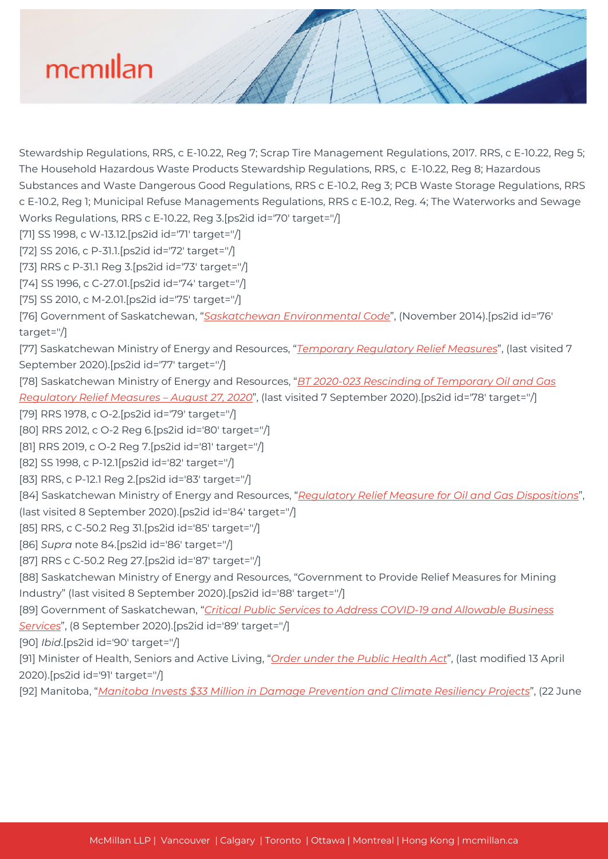Stewardship Regulations, RRS, c E-10.22, Reg 7; Scrap Tire Management Regulations, 2017. RRS, c E-10.22, Reg 5; The Household Hazardous Waste Products Stewardship Regulations, RRS, c E-10.22, Reg 8; Hazardous Substances and Waste Dangerous Good Regulations, RRS c E-10.2, Reg 3; PCB Waste Storage Regulations, RRS c E-10.2, Reg 1; Municipal Refuse Managements Regulations, RRS c E-10.2, Reg. 4; The Waterworks and Sewage Works Regulations, RRS c E-10.22, Reg 3.[ps2id id='70' target=''/] [71] SS 1998, c W-13.12.[ps2id id='71' target=''/] [72] SS 2016, c P-31.1.[ps2id id='72' target=''/] [73] RRS c P-31.1 Reg 3.[ps2id id='73' target=''/] [74] SS 1996, c C-27.01.[ps2id id='74' target=''/] [75] SS 2010, c M-2.01.[ps2id id='75' target=''/] [76] Government of Saskatchewan, "*[Saskatchewan Environmental Code](https://mcmillan.ca/wp-content/uploads/2020/09/Default.aspx_.pdf)*", (November 2014).[ps2id id='76' target=''/] [77] Saskatchewan Ministry of Energy and Resources, "*[Temporary Regulatory Relief Measures](https://mcmillan.ca/wp-content/uploads/2020/09/Default.aspx_.pdf)*", (last visited 7 September 2020).[ps2id id='77' target=''/] [78] Saskatchewan Ministry of Energy and Resources, "*[BT 2020-023 Rescinding of Temporary Oil and Gas](https://publications.saskatchewan.ca/#/products/107471) [Regulatory Relief Measures – August 27, 2020](https://publications.saskatchewan.ca/#/products/107471)*", (last visited 7 September 2020).[ps2id id='78' target=''/] [79] RRS 1978, c O-2.[ps2id id='79' target=''/] [80] RRS 2012, c O-2 Reg 6.[ps2id id='80' target=''/] [81] RRS 2019, c O-2 Reg 7.[ps2id id='81' target=''/] [82] SS 1998, c P-12.1[ps2id id='82' target=''/] [83] RRS, c P-12.1 Reg 2.[ps2id id='83' target=''/] [84] Saskatchewan Ministry of Energy and Resources, "*[Regulatory Relief Measure for Oil and Gas Dispositions](https://mcmillan.ca/wp-content/uploads/2020/09/Oil_and_Gas_Disposition_Regulatory_Relief_Measure_Bulletin_Details-v2.pdf)*", (last visited 8 September 2020).[ps2id id='84' target=''/] [85] RRS, c C-50.2 Reg 31.[ps2id id='85' target=''/] [86] *Supra* note 84.[ps2id id='86' target=''/] [87] RRS c C-50.2 Reg 27.[ps2id id='87' target=''/] [88] Saskatchewan Ministry of Energy and Resources, "Government to Provide Relief Measures for Mining Industry" (last visited 8 September 2020).[ps2id id='88' target=''/] [89] Government of Saskatchewan, "*[Critical Public Services to Address COVID-19 and Allowable Business](https://mcmillan.ca/wp-content/uploads/2020/09/Critical-Public-Services-to-Address-COVID-19-and-Allowable-Business-Services.pdf) [Services](https://mcmillan.ca/wp-content/uploads/2020/09/Critical-Public-Services-to-Address-COVID-19-and-Allowable-Business-Services.pdf)*", (8 September 2020).[ps2id id='89' target=''/] [90] *Ibid*.[ps2id id='90' target=''/] [91] Minister of Health, Seniors and Active Living, "*[Order under the Public Health Act](https://mcmillan.ca/wp-content/uploads/2020/09/orders-soe-04132020.pdf)*", (last modified 13 April 2020).[ps2id id='91' target=''/] [92] Manitoba, "*[Manitoba Invests \\$33 Million in Damage Prevention and Climate Resiliency Projects](https://news.gov.mb.ca/news/index.html?item=48383&posted=2020-06-03)*", (22 June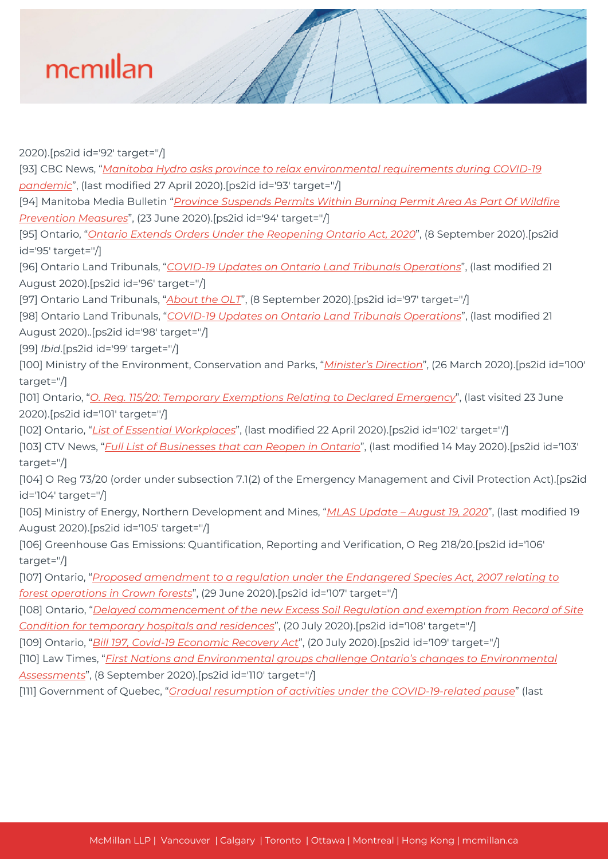2020).[ps2id id='92' target=''/] [93] CBC News, "*[Manitoba Hydro asks province to relax environmental requirements during COVID-19](https://www.cbc.ca/news/canada/manitoba/manitoba-hydro-environmental-licensing-pandemic-1.5544740) [pandemic](https://www.cbc.ca/news/canada/manitoba/manitoba-hydro-environmental-licensing-pandemic-1.5544740)*", (last modified 27 April 2020).[ps2id id='93' target=''/] [94] Manitoba Media Bulletin "*[Province Suspends Permits Within Burning Permit Area As Part Of Wildfire](https://news.gov.mb.ca/news/index.html?item=48242&posted=2020-05-18) [Prevention Measures](https://news.gov.mb.ca/news/index.html?item=48242&posted=2020-05-18)*", (23 June 2020).[ps2id id='94' target=''/] [95] Ontario, "*[Ontario Extends Orders Under the Reopening Ontario Act, 2020](https://news.ontario.ca/en/release/58072/ontario-extends-orders-under-the-reopening-ontario-act-2020)*", (8 September 2020).[ps2id id='95' target=''/] [96] Ontario Land Tribunals, "*[COVID-19 Updates on Ontario Land Tribunals Operations](https://olt.gov.on.ca/covid-19/)*", (last modified 21 August 2020).[ps2id id='96' target=''/] [97] Ontario Land Tribunals, "*[About the OLT](https://olt.gov.on.ca/about-olt/)*", (8 September 2020).[ps2id id='97' target=''/] [98] Ontario Land Tribunals, "*[COVID-19 Updates on Ontario Land Tribunals Operations](https://olt.gov.on.ca/covid-19/)*", (last modified 21 August 2020)..[ps2id id='98' target=''/] [99] *Ibid*.[ps2id id='99' target=''/] [100] Ministry of the Environment, Conservation and Parks, "*[Minister's Direction](https://mcmillan.ca/wp-content/uploads/2020/09/C19_Minister_s_Direction_-_March_26.pdf)*", (26 March 2020).[ps2id id='100' target=''/] [101] Ontario, "*[O. Reg. 115/20: Temporary Exemptions Relating to Declared Emergency](https://www.ontario.ca/laws/regulation/200115)*", (last visited 23 June 2020).[ps2id id='101' target=''/] [102] Ontario, "*[List of Essential Workplaces](https://www.ontario.ca/page/reopening-ontario-stages)*", (last modified 22 April 2020).[ps2id id='102' target=''/] [103] CTV News, "*[Full List of Businesses that can Reopen in Ontario](https://toronto.ctvnews.ca/here-is-the-list-of-businesses-that-can-enter-stage-3-1.4921154)*", (last modified 14 May 2020).[ps2id id='103' target=''/] [104] O Reg 73/20 (order under subsection 7.1(2) of the Emergency Management and Civil Protection Act).[ps2id id='104' target=''/] [105] Ministry of Energy, Northern Development and Mines, "*[MLAS Update – August 19, 2020](https://www.mndm.gov.on.ca/en/news/mines-and-minerals/mlas-update-august-19-2020)*", (last modified 19 August 2020).[ps2id id='105' target=''/] [106] Greenhouse Gas Emissions: Quantification, Reporting and Verification, O Reg 218/20.[ps2id id='106' target=''/] [107] Ontario, "*[Proposed amendment to a regulation under the Endangered Species Act, 2007 relating to](https://ero.ontario.ca/notice/019-1995) [forest operations in Crown forests](https://ero.ontario.ca/notice/019-1995)*", (29 June 2020).[ps2id id='107' target=''/] [108] Ontario, "*[Delayed commencement of the new Excess Soil Regulation and exemption from Record of Site](https://ero.ontario.ca/notice/019-1853) [Condition for temporary hospitals and residences](https://ero.ontario.ca/notice/019-1853)*", (20 July 2020).[ps2id id='108' target=''/] [109] Ontario, "*[Bill 197, Covid-19 Economic Recovery Act](https://www.ola.org/en/legislative-business/bills/parliament-42/session-1/bill-197)*", (20 July 2020).[ps2id id='109' target=''/] [110] Law Times, "*[First Nations and Environmental groups challenge Ontario's changes to Environmental](https://www.lawtimesnews.com/practice-areas/litigation/first-nations-and-environmental-groups-challenge-ontarios-changes-to-environmental-assessments/333064) [Assessments](https://www.lawtimesnews.com/practice-areas/litigation/first-nations-and-environmental-groups-challenge-ontarios-changes-to-environmental-assessments/333064)*", (8 September 2020).[ps2id id='110' target=''/] [111] Government of Quebec, "*[Gradual resumption of activities under the COVID-19-related pause](https://www.quebec.ca/en/health/health-issues/a-z/2019-coronavirus/gradual-resumption-activities-covid19-related-pause/)*" (last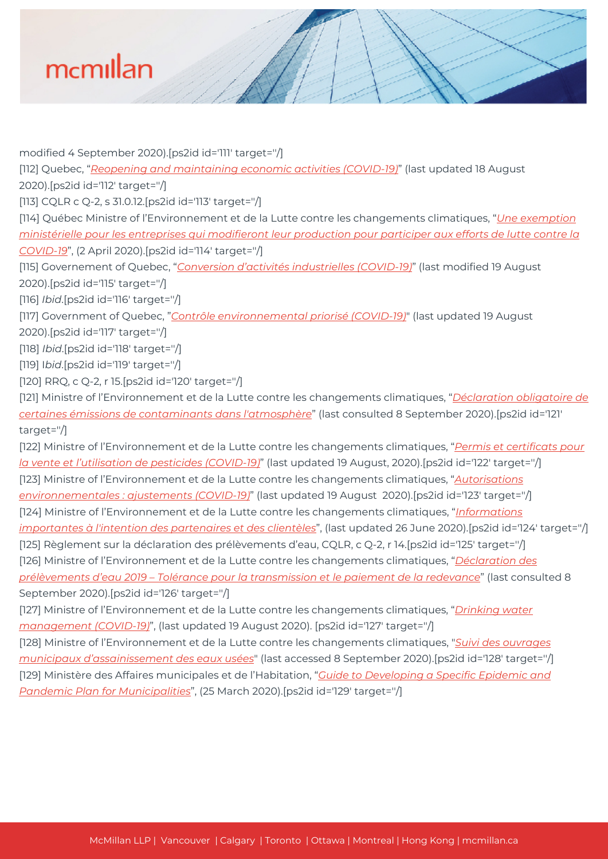modified 4 September 2020).[ps2id id='111' target=''/] [112] Quebec, "*[Reopening and maintaining economic activities \(COVID-19\)](https://www.quebec.ca/en/health/health-issues/a-z/2019-coronavirus/reopening-maintaining-economic-activities-covid-19/)*" (last updated 18 August 2020).[ps2id id='112' target=''/] [113] CQLR c Q-2, s 31.0.12.[ps2id id='113' target=''/] [114] Québec Ministre of l'Environnement et de la Lutte contre les changements climatiques, "*[Une exemption](http://www.environnement.gouv.qc.ca/infuseur/communique.asp?no=4335) [ministérielle pour les entreprises qui modifieront leur production pour participer aux efforts de lutte contre la](http://www.environnement.gouv.qc.ca/infuseur/communique.asp?no=4335) [COVID-19](http://www.environnement.gouv.qc.ca/infuseur/communique.asp?no=4335)*", (2 April 2020).[ps2id id='114' target=''/] [115] Governement of Quebec, "*[Conversion d'activités industrielles \(COVID-19\)](https://www.quebec.ca/entreprises-et-travailleurs-autonomes/conversion-dactivites-industrielles-covid-19/)*" (last modified 19 August 2020).[ps2id id='115' target=''/] [116] *Ibid*.[ps2id id='116' target=''/] [117] Government of Quebec, "*[Contrôle environnemental priorisé \(COVID-19\)](https://www.quebec.ca/environnement-et-ressources-naturelles/covid-19-environnement/controle-environnemental-priorise-covid-19/)*" (last updated 19 August 2020).[ps2id id='117' target=''/] [118] *Ibid*.[ps2id id='118' target=''/] [119] I*bid*.[ps2id id='119' target=''/] [120] RRQ, c Q-2, r 15.[ps2id id='120' target=''/] [121] Ministre of l'Environnement et de la Lutte contre les changements climatiques, "*[Déclaration obligatoire de](http://www.environnement.gouv.qc.ca/air/declar_contaminants/index.htm) [certaines émissions de contaminants dans l'atmosphère](http://www.environnement.gouv.qc.ca/air/declar_contaminants/index.htm)*" (last consulted 8 September 2020).[ps2id id='121' target=''/]

[122] Ministre of l'Environnement et de la Lutte contre les changements climatiques, "*[Permis et certificats pour](https://www.quebec.ca/entreprises-et-travailleurs-autonomes/permis-certificats-pesticides-covid-19/) [la vente et l'utilisation de pesticides \(COVID-19\)](https://www.quebec.ca/entreprises-et-travailleurs-autonomes/permis-certificats-pesticides-covid-19/)*" (last updated 19 August, 2020).[ps2id id='122' target=''/] [123] Ministre of l'Environnement et de la Lutte contre les changements climatiques, "*[Autorisations](https://www.quebec.ca/en/environment-and-natural-resources/covid-19-environnement/environmental-authorizations-covid-19/) [environnementales : ajustements \(COVID-19\)](https://www.quebec.ca/en/environment-and-natural-resources/covid-19-environnement/environmental-authorizations-covid-19/)*" (last updated 19 August 2020).[ps2id id='123' target=''/] [124] Ministre of l'Environnement et de la Lutte contre les changements climatiques, "*[Informations](http://www.environnement.gouv.qc.ca/ministere/covid-19.htm) [importantes à l'intention des partenaires et des clientèles](http://www.environnement.gouv.qc.ca/ministere/covid-19.htm)*", (last updated 26 June 2020).[ps2id id='124' target=''/] [125] Règlement sur la déclaration des prélèvements d'eau, CQLR, c Q-2, r 14.[ps2id id='125' target=''/] [126] Ministre of l'Environnement et de la Lutte contre les changements climatiques, "*[Déclaration des](http://www.environnement.gouv.qc.ca/eau/prelevements/enligne.htm) [prélèvements d'eau 2019 – Tolérance pour la transmission et le paiement de la redevance](http://www.environnement.gouv.qc.ca/eau/prelevements/enligne.htm)*" (last consulted 8 September 2020).[ps2id id='126' target=''/]

[127] Ministre of l'Environnement et de la Lutte contre les changements climatiques, "*[Drinking water](https://www.quebec.ca/en/environment-and-natural-resources/covid-19-environnement/drinking-water-management-covid-19/) [management \(COVID-19\)](https://www.quebec.ca/en/environment-and-natural-resources/covid-19-environnement/drinking-water-management-covid-19/)*", (last updated 19 August 2020). [ps2id id='127' target=''/]

[128] Ministre of l'Environnement et de la Lutte contre les changements climatiques, "*[Suivi des ouvrages](http://www.environnement.gouv.qc.ca/eau/eaux-usees/somaeu/index.htm) [municipaux d'assainissement des eaux usées](http://www.environnement.gouv.qc.ca/eau/eaux-usees/somaeu/index.htm)*" (last accessed 8 September 2020).[ps2id id='128' target=''/] [129] Ministère des Affaires municipales et de l'Habitation, "*[Guide to Developing a Specific Epidemic and](https://mcmillan.ca/wp-content/uploads/2020/09/Gui_Coronavirus_Muni_ENG.pdf) [Pandemic Plan for Municipalities](https://mcmillan.ca/wp-content/uploads/2020/09/Gui_Coronavirus_Muni_ENG.pdf)*", (25 March 2020).[ps2id id='129' target=''/]